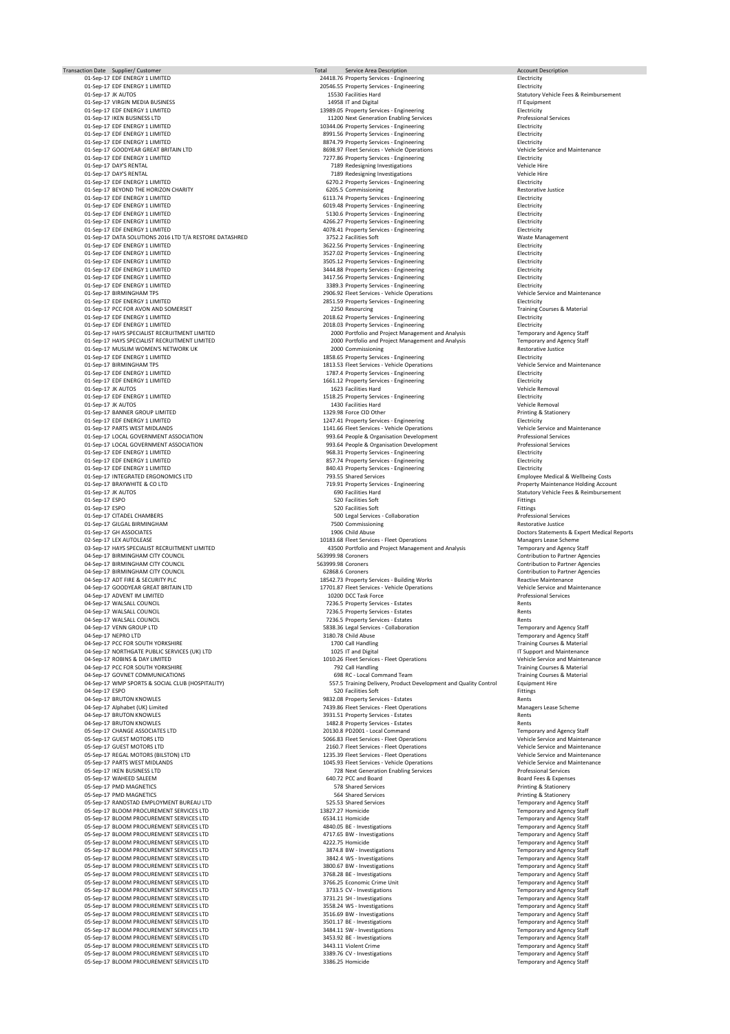05-Sep-17 BLOOM PROCUREMENT SERVICES LTD **1999 CONVERTIGATION** 3386.25 Homicide Temporary and Agency Staff

Transaction Date Supplier/ Customer The Customer Total Service Area Description and Total Service Area Description 01-Sep-17 EDF ENERGY 1 LIMITED Electricity 01-Sep-17 EDF ENERGY 1 LIMITED 20546.55 Property Services - Engineering Electricity 01-Sep-17 JK AUTOS 15530 Facilities Hard Statutory Vehicle Fees & Reimbursement 01-Sep-17 VIRGIN MEDIA BUSINESS **14958 IT and Digital** 14958 IT and Digital IT Equipment 01-Sep-17 EDF ENERGY 1 LIMITED Electricity and the state of the 13989.05 Property Services - Engineering Electricity 01-Sep-17 IKEN BUSINESS LTD 11200 Next Generation Enabling Services Professional Services 01-Sep-17 EDF ENERGY 1 LIMITED 10344.06 Property Services - Engineering Electricity 01-Sep-17 EDF ENERGY 1 LIMITED Electricity and the state of the state and state 8991.56 Property Services - Engineering Electricity 01-Sep-17 EDF ENERGY 1 LIMITED Electricity and the state of the state of 8874.79 Property Services - Engineering 01-Sep-17 GOODYEAR GREAT BRITAIN LTD **8698.97 Fleet Services - Vehicle Operations** Vehicle Service and Maintenance 01-Sep-17 EDF ENERGY 1 LIMITED Electricity and the CHE of Table 7277.86 Property Services - Engineering Electricity 01-Sep-17 DAY'S RENTAL 7189 Redesigning Investigations Vehicle Hire 01-Sep-17 DAY'S RENTAL 7189 Redesigning Investigations Vehicle Hire 01-Sep-17 EDF ENERGY 1 LIMITED 6270.2 Property Services - Engineering Electricity 01-Sep-17 BEYOND THE HORIZON CHARITY 6205.5 Commissioning Restorative Justice 01-Sep-17 EDF ENERGY 1 LIMITED Electricity 6113.74 Property Services - Engineering Electricity 01-Sep-17 EDF ENERGY 1 LIMITED Electricity 6019.48 Property Services - Engineering Electricity 01-Sep-17 EDF ENERGY 1 LIMITED 5130.6 Property Services - Engineering Electricity 01-Sep-17 EDF ENERGY 1 LIMITED 4266.27 Property Services - Engineering Electricity 01-Sep-17 EDF ENERGY 1 LIMITED 4078.41 Property Services - Engineering Electricity 01-Sep-17 DATA SOLUTIONS 2016 LTD T/A RESTORE DATASHRED 3752.2 Facilities Soft Waste Management 01-Sep-17 EDF ENERGY 1 LIMITED Electricity 3622.56 Property Services - Engineering Electricity 01-Sep-17 EDF ENERGY 1 LIMITED Electricity and the state of the state of the state of the state of the state of the state of the state of the state of the state of the state of the state of the state of the state of the st 01-Sep-17 EDF ENERGY 1 LIMITED Electricity 3505.12 Property Services - Engineering Electricity 01-Sep-17 EDF ENERGY 1 LIMITED 3444.88 Property Services - Engineering Electricity 01-Sep-17 EDF ENERGY 1 LIMITED Electricity and the state of the state of 3417.56 Property Services - Engineering Electricity 01-Sep-17 EDF ENERGY 1 LIMITED 3389.3 Property Services - Engineering Electricity 01-Sep-17 BIRMINGHAM TPS 2906.92 Fleet Services - Vehicle Operations Vehicle Service and Maintenance 01-Sep-17 EDF ENERGY 1 LIMITED 2851.59 Property Services - Engineering Electricity 01-Sep-17 PCC FOR AVON AND SOMERSET **1200 CONSERVERSES 2250** Resourcing 2250 Resourcing Training Courses & Material 01-Sep-17 EDF ENERGY 1 LIMITED 2018.62 Property Services - Engineering Electricity 01-Sep-17 EDF ENERGY 1 LIMITED 2018.03 Property Services - Engineering Electricity 01-Sep-17 HAYS SPECIALIST RECRUITMENT LIMITED 2000 Portfolio and Project Management and Analysis Temporary and Agency Staff 01-Sep-17 HAYS SPECIALIST RECRUITMENT LIMITED 2000 Portfolio and Project Management and Analysis Temporary and Agency Staff 01-Sep-17 MUSLIM WOMEN'S NETWORK UK **2000 Commissioning** 2000 Commissioning Restorative Justice 01-Sep-17 EDF ENERGY 1 LIMITED 1858.65 Property Services - Engineering Electricity 01-Sep-17 BIRMINGHAM TPS 1813.53 Fleet Services - Vehicle Operations Vehicle Service and Maintenance 01-Sep-17 EDF ENERGY 1 LIMITED 1787.4 Property Services - Engineering Electricity 01-Sep-17 EDF ENERGY 1 LIMITED 1661.12 Property Services - Engineering Electricity 01-Sep-17 JK AUTOS Noticle Removal and the settlement of the settlement of the settlement of the settle Removal 01-Sep-17 EDF ENERGY 1 LIMITED Electricity and the state of the 1518.25 Property Services - Engineering Electricity 01-Sep-17 JK AUTOS Nehicle Removal and the settlement of the settleme of the settleme of the settle Removal of the Sep-17 JK AUTOS Nehicle Removal 01-Sep-17 BANNER GROUP LIMITED **1329.98 Force CID Other** 1329.98 Force CID Other **Printing & Stationery** 01-Sep-17 EDF ENERGY 1 LIMITED Electricity and the state of the state of the state of the state of the state of the state of the state of the state of the state of the state of the state of the state of the state of the st 01-Sep-17 PARTS WEST MIDLANDS 1141.66 Fleet Services - Vehicle Operations Vehicle Service and Maintenance 01-Sep-17 LOCAL GOVERNMENT ASSOCIATION 993.64 People & Organisation Development Professional Services 01-Sep-17 LOCAL GOVERNMENT ASSOCIATION 993.64 People & Organisation Development Professional Services 01-Sep-17 EDF ENERGY 1 LIMITED 968.31 Property Services - Engineering Electricity 01-Sep-17 EDF ENERGY 1 LIMITED 857.74 Property Services - Engineering Electricity 01-Sep-17 EDF ENERGY 1 LIMITED 840.43 Property Services - Engineering Electricity 01-Sep-17 INTEGRATED ERGONOMICS LTD 793.55 Shared Services Employee Medical & Wellbeing Costs 01-Sep-17 BRAYWHITE & CO LTD **The CO LTD** 219.91 Property Services - Engineering Property Maintenance Holding Account 01-Sep-17 JK AUTOS 690 Facilities Hard Statutory Vehicle Fees & Reimbursement 01-Sep-17 ESPO 520 Facilities Soft 520 Facilities Soft 520 Facilities Soft 520 Facilities Soft 51 Fittings 01-Sep-17 ESPO 520 Facilities Soft 520 Facilities Soft 520 Facilities Soft 520 Facilities Soft 51 Fittings 01-Sep-17 CITADEL CHAMBERS 600 Legal Services - Collaboration 500 Legal Services - Collaboration Professional Services 01-Sep-17 GILGAL BIRMINGHAM **1996** Nestorative Justice 101-Sep-17 GILGAL BIRMINGHAM 1996 Nestorative Justice 01-Sep-17 GH ASSOCIATES **1906 Child Abuse** 1906 Child Abuse **1906 Child Abuse** Doctors Statements & Expert Medical Reports 02-Sep-17 LEX AUTOLEASE 10182.68 Fleet Services - Fleet Operations 10183.68 Fleet Services - Fleet Operations 03-Sep-17 HAYS SPECIALIST RECRUITMENT LIMITED 43500 Portfolio and Project Management and Analysis Temporary and Agency Staff 04-Sep-17 BIRMINGHAM CITY COUNCIL **Example 2018** S63999.98 Coroners Contribution to Partner Agencies 04-Sep-17 BIRMINGHAM CITY COUNCIL 563999.98 Coroners Contribution to Partner Agencies 04-Sep-17 BIRMINGHAM CITY COUNCIL **Example 2006** 2006 2006 20068.6 Coroners Contribution to Partner Agencies 04-Sep-17 ADT FIRE & SECURITY PLC **18542.73 Property Services - Building Works** Reactive Maintenance 04-Sep-17 GOODYEAR GREAT BRITAIN LTD 17701.87 Fleet Services - Vehicle Operations Vehicle Service and Maintenance 04-Sep-17 ADVENT IM LIMITED **10200 DCC Task Force** 10200 DCC Task Force Professional Services 04-Sep-17 WALSALL COUNCIL **Exterior Contract COUNCIL** Rents 04-Sep-17 WALSALL COUNCIL 7236.5 Property Services - Estates Rents 04-Sep-17 WALSALL COUNCIL 7236.5 Property Services - Estates Rents 04-Sep-17 VENN GROUP LTD 5838.36 Legal Services - Collaboration Temporary and Agency Staff 04-Sep-17 NEPRO LTD **Subset and Agency Staff** 3180.78 Child Abuse 3180.78 Child Abuse Temporary and Agency Staff 04-Sep-17 PCC FOR SOUTH YORKSHIRE **1700 Call Handling** 1700 Call Handling 1700 Call Handling Training Courses & Material 04-Sep-17 NORTHGATE PUBLIC SERVICES (UK) LTD 1025 IT and Digital 1025 IT and Digital IT Support and Maintenance 04-Sep-17 ROBINS & DAY LIMITED 1010.26 Fleet Services - Fleet Operations Vehicle Service and Maintenance O4-Sep-17 PCC FOR SOUTH YORKSHIRE THE SAME TRAINING THE SAME TRAINING TRAINING TRAINING TRAINING COURSES & Material 04-Sep-17 GOVNET COMMUNICATIONS **698 RC - Local Command Team** 698 RC - Local Command Team Training Courses & Material 04-Sep-17 WMP SPORTS & SOCIAL CLUB (HOSPITALITY) 557.5 Training Delivery, Product Development and Quality Control Equipment Hire 04-Sep-17 ESPO 520 Facilities Soft 520 Facilities Soft 520 Facilities Soft 520 Facilities Soft 520 Facilities Soft 04-Sep-17 BRUTON KNOWLES 9832.08 Property Services - Estates Rents 04-Sep-17 Alphabet (UK) Limited **The Contract of Contract Contract Services** - Fleet Services - Fleet Operations Managers Lease Scheme 04-Sep-17 BRUTON KNOWLES 3931.51 Property Services - Estates Rents 04-Sep-17 BRUTON KNOWLES 1482.8 Property Services - Estates Rents 05-Sep-17 CHANGE ASSOCIATES LTD 20130.8 PD2001 - Local Command Temporary and Agency Staff 05-Sep-17 GUEST MOTORS LTD 5066.83 Fleet Services - Fleet Operations Vehicle Service and Maintenance 05-Sep-17 GUEST MOTORS LTD 2160.7 Fleet Services - Fleet Operations Vehicle Service and Maintenance 05-Sep-17 REGAL MOTORS (BILSTON) LTD 1235.39 Fleet Services - Fleet Operations Vehicle Service and Maintenance 05-Sep-17 PARTS WEST MIDLANDS 1045.93 Fleet Services - Vehicle Operations Vehicle Service and Maintenance 05-Sep-17 IKEN BUSINESS LTD 728 Next Generation Enabling Services Professional Services 05-Sep-17 WAHEED SALEEM 640.72 PCC and Board Board Fees & Expenses 05-Sep-17 PMD MAGNETICS **Example 20 Stationery** 578 Shared Services **578 Shared Services** Printing & Stationery O5-Sep-17 PMD MAGNETICS **1.1 Accord 20 Telecommunity** 564 Shared Services **564 Shared Services** Printing & Stationery 05-Sep-17 RANDSTAD EMPLOYMENT BUREAU LTD 525.53 Shared Services Temporary and Agency Staff 05-Sep-17 BLOOM PROCUREMENT SERVICES LTD 13827.27 Homicide Temporary and Agency Staff 05-Sep-17 BLOOM PROCUREMENT SERVICES LTD **6534.11 Homicide** 6534.11 Homicide 6534.11 Homicide Temporary and Agency Staff 05-Sep-17 BLOOM PROCUREMENT SERVICES LTD **1996** ASSAULT A 4840.05 BE - Investigations Temporary and Agency Staff 05-Sep-17 BLOOM PROCUREMENT SERVICES LTD **Accord 2006 120 and Agency Staff** 4717.65 BW - Investigations Temporary and Agency Staff 05-Sep-17 BLOOM PROCUREMENT SERVICES LTD **Accord 2006 Temporary and Agency Staff** and Agency Staff and Agency Staff 05-Sep-17 BLOOM PROCUREMENT SERVICES LTD **1996 CONVERTIGATION** 3874.8 BW - Investigations Temporary and Agency Staff 05-Sep-17 BLOOM PROCUREMENT SERVICES LTD 3842.4 WS - Investigations Temporary and Agency Staff 05-Sep-17 BLOOM PROCUREMENT SERVICES LTD **1996** 2000.67 BW - Investigations and Agency Staff and Agency Staff and Agency Staff and Agency Staff and Agency Staff and Agency Staff and Agency Staff and Agency Staff and Agency 05-Sep-17 BLOOM PROCUREMENT SERVICES LTD 3768.28 BE - Investigations 3768.28 BE - Investigations 05-Sep-17 BLOOM PROCUREMENT SERVICES LTD **1996 CONVERTS 2000** 3766.25 Economic Crime Unit Temporary and Agency Staff 05-Sep-17 BLOOM PROCUREMENT SERVICES LTD 3733.5 CV - Investigations 3733.5 CV - Investigations 05-Sep-17 BLOOM PROCUREMENT SERVICES LTD 3731.21 SH - Investigations Temporary and Agency Staff 05-Sep-17 BLOOM PROCUREMENT SERVICES LTD **3558.24 WS** - Investigations 3558.24 WS - Investigations Temporary and Agency Staff 05-Sep-17 BLOOM PROCUREMENT SERVICES LTD **3516.69 BW** - Investigations and Agency Staff and Agency Staff and Agency Staff and Agency Staff and Agency Staff and Agency Staff and Agency Staff and Agency Staff and Agency Staf 05-Sep-17 BLOOM PROCUREMENT SERVICES LTD **3501.17 BE** - Investigations 3501.17 BE - Investigations Temporary and Agency Staff 05-Sep-17 BLOOM PROCUREMENT SERVICES LTD **1966 CONVERTIGATION** 3484.11 SW - Investigations Temporary and Agency Staff 05-Sep-17 BLOOM PROCUREMENT SERVICES LTD **10.1 CONVERTIGAT SERVICES** LTD 3453.92 BE - Investigations Temporary and Agency Staff 05-Sep-17 BLOOM PROCUREMENT SERVICES LTD **3443.11 Violent Crime** 3443.11 Violent Crime Temporary and Agency Staff 05-Sep-17 BLOOM PROCUREMENT SERVICES LTD 3389.76 CV - Investigations Temporary and Agency Staff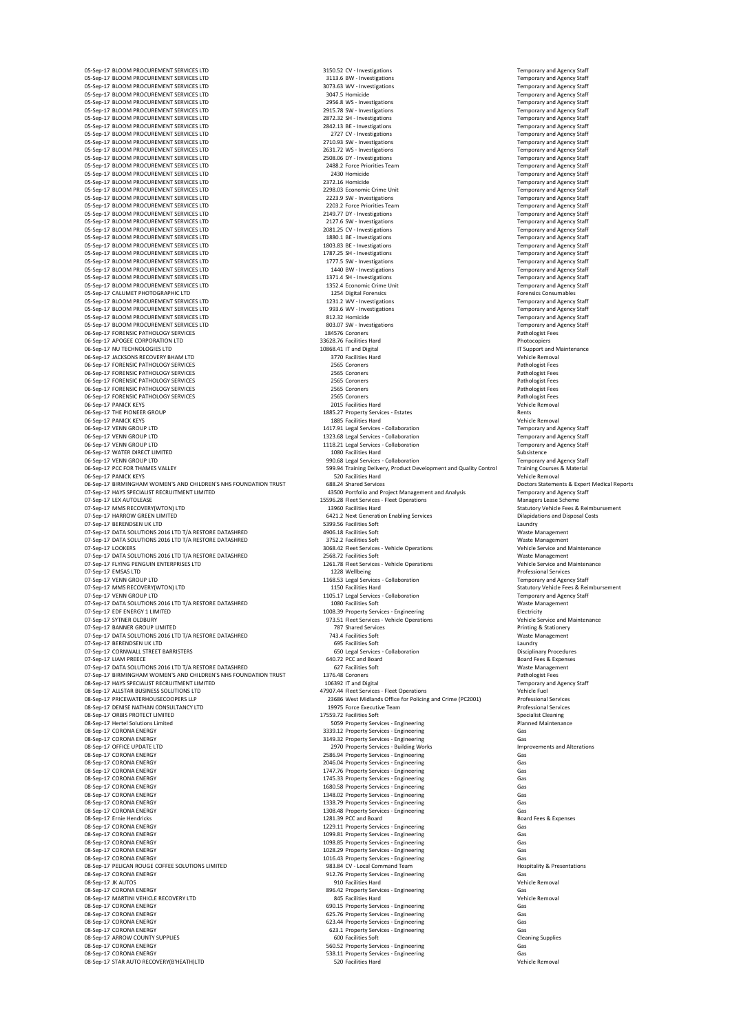05-Sep-17 BLOOM PROCUREMENT SERVICES LTD 3150.52 CV - Investigations Temporary and Agency Staff 05-Sep-17 BLOOM PROCUREMENT SERVICES LTD 3113.6 BW - Investigations 3113.6 BW - Investigations 05-Sep-17 BLOOM PROCUREMENT SERVICES LTD 3073.63 WV - Investigations Temporary and Agency Staff 05-Sep-17 BLOOM PROCUREMENT SERVICES LTD 3047.5 Homicide Temporary and Agency Staff 05-Sep-17 BLOOM PROCUREMENT SERVICES LTD **1995 CONVERTING A SECUREMENT SERVICES** LTD 2956.8 WS - Investigations Temporary and Agency Staff 05-Sep-17 BLOOM PROCUREMENT SERVICES LTD 2915.78 SW - Investigations Temporary and Agency Staff 05-Sep-17 BLOOM PROCUREMENT SERVICES LTD **2872.32 SH** - Investigations 2872.32 SH - Investigations 05-Sep-17 BLOOM PROCUREMENT SERVICES LTD **2842.13 BE - Investigations** 2842.13 BE - Investigations Temporary and Agency Staff 05-Sep-17 BLOOM PROCUREMENT SERVICES LTD 2727 CV - Investigations Temporary and Agency Staff 05-Sep-17 BLOOM PROCUREMENT SERVICES LTD 2710.93 SW - Investigations 2010.93 SW - Investigations 05-Sep-17 BLOOM PROCUREMENT SERVICES LTD 2631.72 WS - Investigations Temporary and Agency Staff 05-Sep-17 BLOOM PROCUREMENT SERVICES LTD 2508.06 DY - Investigations 2508.06 DY - Investigations Temporary and Agency Staff 05-Sep-17 BLOOM PROCUREMENT SERVICES LTD 2488.2 Force Priorities Team Temporary and Agency Staff 05-Sep-17 BLOOM PROCUREMENT SERVICES LTD 2430 Homicide Temporary and Agency Staff 05-Sep-17 BLOOM PROCUREMENT SERVICES LTD 2372.16 Homicide 2372.16 Homicide Temporary and Agency Staff 05-Sep-17 BLOOM PROCUREMENT SERVICES LTD **1998.03 Example 2298.03** Economic Crime Unit Temporary and Agency Staff 05-Sep-17 BLOOM PROCUREMENT SERVICES LTD 2223.9 SW - Investigations Temporary and Agency Staff 05-Sep-17 BLOOM PROCUREMENT SERVICES LTD 2203.2 Force Priorities Team Temporary and Agency Staff 05-Sep-17 BLOOM PROCUREMENT SERVICES LTD 2149.77 DY - Investigations 20149.77 DY - Investigations 05-Sep-17 BLOOM PROCUREMENT SERVICES LTD 2127.6 SW - Investigations Temporary and Agency Staff 05-Sep-17 BLOOM PROCUREMENT SERVICES LTD **2081.25 CV** - Investigations 2081.25 CV - Investigations Temporary and Agency Staff 05-Sep-17 BLOOM PROCUREMENT SERVICES LTD 1880.1 BE - Investigations 1880.1 BE - Investigations Temporary and Agency Staff 05-Sep-17 BLOOM PROCUREMENT SERVICES LTD 1803.83 BE - Investigations 1803.83 BE - Investigations 05-Sep-17 BLOOM PROCUREMENT SERVICES LTD **1787.25 SH** - Investigations 1787.25 SH - Investigations Temporary and Agency Staff 05-Sep-17 BLOOM PROCUREMENT SERVICES LTD **1777.5 SW** - Investigations Temporary and Agency Staff 05-Sep-17 BLOOM PROCUREMENT SERVICES LTD **1440 BW** - Investigations 1440 BW - Investigations Temporary and Agency Staff 05-Sep-17 BLOOM PROCUREMENT SERVICES LTD **1371.4 SH** - Investigations Temporary and Agency Staff 05-Sep-17 BLOOM PROCUREMENT SERVICES LTD **1352.4** Economic Crime Unit Temporary and Agency Staff 05-Sep-17 CALUMET PHOTOGRAPHIC LTD 1254 Digital Forensics Forensics Consumables 05-Sep-17 BLOOM PROCUREMENT SERVICES LTD **1231.2 WV** - Investigations Temporary and Agency Staff 05-Sep-17 BLOOM PROCUREMENT SERVICES LTD 993.6 WV - Investigations Temporary and Agency Staff 05-Sep-17 BLOOM PROCUREMENT SERVICES LTD **812.32 Homicide** 812.32 Homicide Temporary and Agency Staff 05-Sep-17 BLOOM PROCUREMENT SERVICES LTD 803.07 SW - Investigations 803.07 SW - Investigations 06-Sep-17 FORENSIC PATHOLOGY SERVICES **184576 Coroners** 184576 Coroners Pathologist Fees 06-Sep-17 APOGEE CORPORATION LTD **1996 CORPORATION LTD** 33628.76 Facilities Hard 06-Sep-17 NU TECHNOLOGIES LTD **10868.41 IT and Digital** 10868.41 IT and Digital IT and Digital IT Support and Maintenance 06-Sep-17 JACKSONS RECOVERY BHAM LTD 3770 Facilities Hard Vehicle Removal 06-Sep-17 FORENSIC PATHOLOGY SERVICES **Example 2565** Coroners 2565 Coroners Pathologist Fees 06-Sep-17 FORENSIC PATHOLOGY SERVICES **Example 2565** Coroners 2565 Coroners Pathologist Fees 06-Sep-17 FORENSIC PATHOLOGY SERVICES **Example 2565** Coroners 2565 Coroners Pathologist Fees 06-Sep-17 FORENSIC PATHOLOGY SERVICES **Example 2565** Coroners 2565 Coroners Pathologist Fees 06-Sep-17 FORENSIC PATHOLOGY SERVICES **Example 2565** Coroners 2565 Coroners Pathologist Fees 06-Sep-17 PANICK KEYS 2015 Facilities Hard Vehicle Removal 06-Sep-17 THE PIONEER GROUP **1885.27 Property Services - Estates** Rents 06-Sep-17 PANICK KEYS 1885 Facilities Hard Vehicle Removal 06-Sep-17 VENN GROUP LTD 1417.91 Legal Services - Collaboration 1417.91 Legal Services - Collaboration Temporary and Agency Staff 06-Sep-17 VENN GROUP LTD 1323.68 Legal Services - Collaboration 1323.68 Legal Services - Collaboration Temporary and Agency Staff 06-Sep-17 VENN GROUP LTD 1118.21 Legal Services - Collaboration Temporary and Agency Staff 06-Sep-17 WATER DIRECT LIMITED Subsistence 1080 Facilities Hard 1080 Facilities Hard Subsistence 06-Sep-17 VENN GROUP LTD **1990.68 Legal Services - Collaboration** 1990.68 Legal Services - Collaboration Temporary and Agency Staff 06-Sep-17 PCC FOR THAMES VALLEY 599.94 Training Delivery, Product Development and Quality Control Training Courses & Material 06-Sep-17 PANICK KEYS Vehicle Removal 06-Sep-17 BIRMINGHAM WOMEN'S AND CHILDREN'S NHS FOUNDATION TRUST 688.24 Shared Services Doctors Statements & Expert Medical Reports 07-Sep-17 HAYS SPECIALIST RECRUITMENT LIMITED 43500 Portfolio and Project Management and Analysis Temporary and Agency Staff 07-Sep-17 LEX AUTOLEASE 15596.28 Fleet Services - Fleet Operations Managers Lease Scheme 07-Sep-17 MMS RECOVERY(WTON) LTD 13960 Facilities Hard 13960 Facilities Hard Statutory Vehicle Fees & Reimbursement 07-Sep-17 HARROW GREEN LIMITED 6421.2 Next Generation Enabling Services Dilapidations and Disposal Costs 07-Sep-17 BERENDSEN UK LTD **Example 2008 Contract Contract Contract Contract Contract Contract Contract Contract Contract Contract Contract Contract Contract Contract Contract Contract Contract Contract Contract Contract C** 07-Sep-17 DATA SOLUTIONS 2016 LTD T/A RESTORE DATASHRED 4906.18 Facilities Soft Waste Management 07-Sep-17 DATA SOLUTIONS 2016 LTD T/A RESTORE DATASHRED 3752.2 Facilities Soft Waste Management 07-Sep-17 LOOKERS 3068.42 Fleet Services - Vehicle Operations 3068.42 Fleet Services - Vehicle Operations Vehicle Service and Maintenance 07-Sep-17 DATA SOLUTIONS 2016 LTD T/A RESTORE DATASHRED 2568.72 Facilities Soft Waste Management 07-Sep-17 FLYING PENGUIN ENTERPRISES LTD 1261.78 Fleet Services - Vehicle Operations Vehicle Service and Maintenance 07-Sep-17 EMSAS LTD **1228 Wellbeing** 1228 Wellbeing 1228 Wellbeing **Professional Services** 07-Sep-17 VENN GROUP LTD **1168.53 Legal Services - Collaboration** 1168.53 Legal Services - Collaboration Temporary and Agency Staff 07-Sep-17 MMS RECOVERY(WTON) LTD **1150 Facilities Hard** 1150 Facilities Hard Statutory Vehicle Fees & Reimbursement 07-Sep-17 VENN GROUP LTD 1105.17 Legal Services - Collaboration 1105.17 Legal Services - Collaboration 07-Sep-17 DATA SOLUTIONS 2016 LTD T/A RESTORE DATASHRED 1080 Facilities Soft Waste Management 07-Sep-17 EDF ENERGY 1 LIMITED Electricity and the state of the 1008.39 Property Services - Engineering Electricity 07-Sep-17 SYTNER OLDBURY 973.51 Fleet Services - Vehicle Operations Vehicle Service and Maintenance 07-Sep-17 BANNER GROUP LIMITED **1988** Stationery 787 Shared Services **1988** Printing & Stationery 07-Sep-17 DATA SOLUTIONS 2016 LTD T/A RESTORE DATASHRED 743.4 Facilities Soft Waste Management 07-Sep-17 BERENDSEN UK LTD **Example 2008 CONTROLLER CONTROLLER Soft CONTROLLER CONTROLLER CONTROLLER CONTROLLER** 07-Sep-17 CORNWALL STREET BARRISTERS 650 Legal Services - Collaboration 650 Legal Services - Collaboration Disciplinary Procedures 07-Sep-17 LIAM PREECE **Expenses** 640.72 PCC and Board **Fees & Expenses** 640.72 PCC and Board **Fees & Expenses** 07-Sep-17 DATA SOLUTIONS 2016 LTD T/A RESTORE DATASHRED 627 Facilities Soft 627 Facilities Soft 627 Facilities Soft 627 Facilities Soft 627 Facilities Soft 627 Facilities Soft 627 Facilities Soft 627 Facilities Soft 647 Ap 07-Sep-17 BIRMINGHAM WOMEN'S AND CHILDREN'S NHS FOUNDATION TRUST 1376.48 Coroners 1376.48 Coroners Pathologist Fees 08-Sep-17 HAYS SPECIALIST RECRUITMENT LIMITED 106392 IT and Digital 106392 IT and Digital Temporary and Agency Staff 08-Sep-17 ALLSTAR BUSINESS SOLUTIONS LTD 47907.44 Fleet Services - Fleet Operations Vehicle Fuel 08-Sep-17 PRICEWATERHOUSECOOPERS LLP 23686 West Midlands Office for Policing and Crime (PC2001) Professional Services 08-Sep-17 DENISE NATHAN CONSULTANCY LTD 19975 Force Executive Team Professional Services 08-Sep-17 ORBIS PROTECT LIMITED 17559.72 Facilities Soft Specialist Cleaning 08-Sep-17 Hertel Solutions Limited 5000 Sep-17 Hertel Solutions Limited 5059 Property Services - Engineering Planned Maintenance 08-Sep-17 CORONA ENERGY 3339.12 Property Services - Engineering Gas 08-Sep-17 CORONA ENERGY 3149.32 Property Services - Engineering Gas 08-Sep-17 OFFICE UPDATE LTD 2970 Property Services - Building Works Improvements and Alterations 08-Sep-17 CORONA ENERGY 2586.94 Property Services - Engineering Gas 08-Sep-17 CORONA ENERGY 2046.04 Property Services - Engineering Gas 08-Sep-17 CORONA ENERGY 1747.76 Property Services - Engineering Gas 08-Sep-17 CORONA ENERGY 1745.33 Property Services - Engineering Gas 08-Sep-17 CORONA ENERGY Gas Contract Contract Contract Contract Contract Contract Contract Contract Contract Contract Contract Contract Contract Contract Contract Contract Contract Contract Contract Contract Contract Contr 08-Sep-17 CORONA ENERGY 1348.02 Property Services - Engineering Gas 08-Sep-17 CORONA ENERGY 1338.79 Property Services - Engineering Gas 08-Sep-17 CORONA ENERGY 1308.48 Property Services - Engineering Gas 08-Sep-17 Ernie Hendricks **1281.39 PCC and Board Fees & Expenses** 1281.39 PCC and Board **Fees & Expenses** 08-Sep-17 CORONA ENERGY 1229.11 Property Services - Engineering Gas 08-Sep-17 CORONA ENERGY 1099.81 Property Services - Engineering Gas 08-Sep-17 CORONA ENERGY Gas Contract Contract Contract Contract Contract Contract Contract Contract Contract Contract Contract Contract Contract Contract Contract Contract Contract Contract Contract Contract Contract Contr 08-Sep-17 CORONA ENERGY 1028.29 Property Services - Engineering Gas 08-Sep-17 CORONA ENERGY 601 CORONA ENERGY 6018 CORONAL CORONAL SUBSERVICES 1016.43 Property Services - Engineering 6016.43 Property Services - Engineering 6016.43 Property Services - Engineering 6016.43 Property Services -08-Sep-17 PELICAN ROUGE COFFEE SOLUTIONS LIMITED 983.84 CV - Local Command Team Hospitality & Presentations 08-Sep-17 CORONA ENERGY 912.76 Property Services - Engineering Gas 08-Sep-17 JK AUTOS Noticle Removal and the Sep-17 JK AUTOS Nehicle Removal 08-Sep-17 CORONA ENERGY 896.42 Property Services - Engineering Gas 08-Sep-17 MARTINI VEHICLE RECOVERY LTD **845 Facilities Hard** 845 Facilities Hard Vehicle Removal 08-Sep-17 CORONA ENERGY 690.15 Property Services - Engineering Gas 08-Sep-17 CORONA ENERGY Gas Cases and Cases of Contractors of Cases of Cases of Cases of Cases of Cases of Cas 08-Sep-17 CORONA ENERGY Gas Cases and Cases of Cases of Gas Cases of Gas Cases of Gas Cases of Gas Cases of Gas 08-Sep-17 CORONA ENERGY Gas CORONA ENERGY 623.1 Property Services - Engineering Gas 08-Sep-17 ARROW COUNTY SUPPLIES Cleaning Supplies 08-Sep-17 CORONA ENERGY Gas Cases and Cases of the Sep-17 CORONA ENERGY Gas 08-Sep-17 CORONA ENERGY 601 CORONA ENERGY 601 CORONAL STATE STATE STATE STATE STATE STATE STATE STATE STATE STATE STATE STATE STATE STATE STATE STATE STATE STATE STATE STATE STATE STATE STATE STATE STATE STATE STATE STATE 08-Sep-17 STAR AUTO RECOVERY(B'HEATH)LTD 608-Sep-17 STAR AUTO RECOVERY(B'HEATH)LTD 520 Facilities Hard Vehicle Removal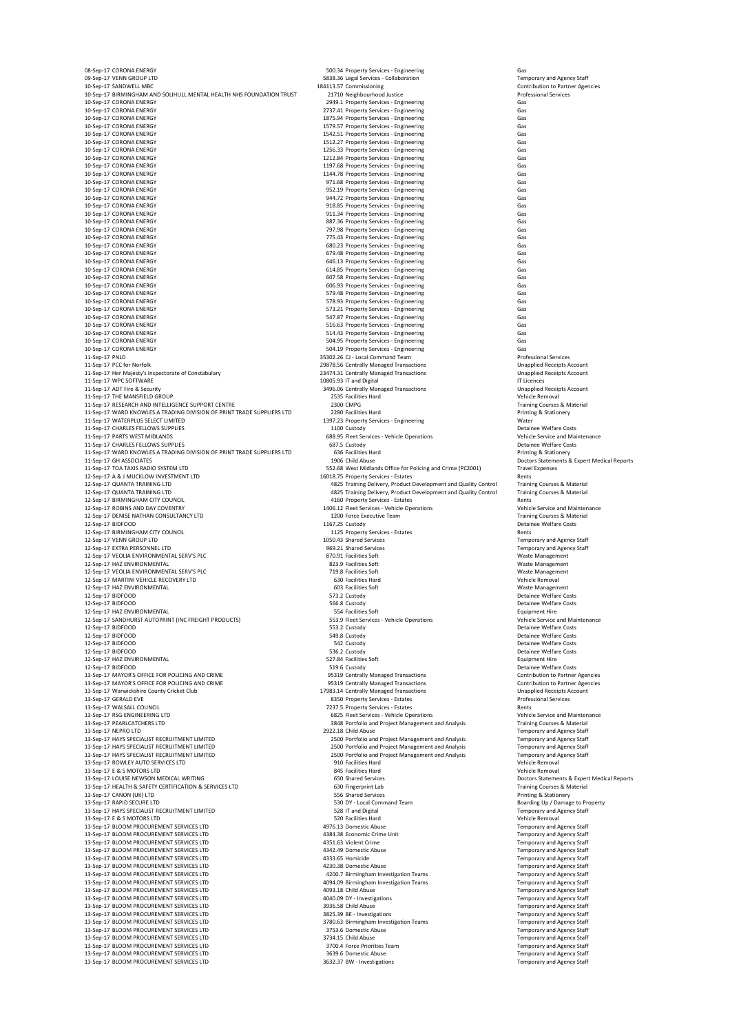| 08-Sep-17 CORONA ENERGY                                                | 500.34 Property Services - Engineering                          | Gas                                         |
|------------------------------------------------------------------------|-----------------------------------------------------------------|---------------------------------------------|
| 09-Sep-17 VENN GROUP LTD                                               | 5838.36 Legal Services - Collaboration                          | <b>Temporary and Agency Staff</b>           |
| 10-Sep-17 SANDWELL MBC                                                 | 184113.57 Commissioning                                         | <b>Contribution to Partner Agencies</b>     |
| 10-Sep-17 BIRMINGHAM AND SOLIHULL MENTAL HEALTH NHS FOUNDATION TRUST   | 21710 Neighbourhood Justice                                     | <b>Professional Services</b>                |
| 10-Sep-17 CORONA ENERGY                                                | 2949.1 Property Services - Engineering                          | Gas                                         |
| 10-Sep-17 CORONA ENERGY                                                | 2737.41 Property Services - Engineering                         | Gas                                         |
| 10-Sep-17 CORONA ENERGY                                                | 1875.94 Property Services - Engineering                         | Gas                                         |
| 10-Sep-17 CORONA ENERGY                                                | 1579.57 Property Services - Engineering                         | Gas                                         |
| 10-Sep-17 CORONA ENERGY                                                | 1542.51 Property Services - Engineering                         | Gas                                         |
| 10-Sep-17 CORONA ENERGY                                                | 1512.27 Property Services - Engineering                         | Gas                                         |
| 10-Sep-17 CORONA ENERGY                                                | 1256.33 Property Services - Engineering                         | Gas                                         |
| 10-Sep-17 CORONA ENERGY                                                | 1212.84 Property Services - Engineering                         | Gas                                         |
| 10-Sep-17 CORONA ENERGY                                                | 1197.68 Property Services - Engineering                         | Gas                                         |
| 10-Sep-17 CORONA ENERGY                                                | 1144.78 Property Services - Engineering                         | Gas                                         |
| 10-Sep-17 CORONA ENERGY                                                | 971.68 Property Services - Engineering                          | Gas                                         |
| 10-Sep-17 CORONA ENERGY                                                | 952.19 Property Services - Engineering                          | Gas                                         |
| 10-Sep-17 CORONA ENERGY                                                | 944.72 Property Services - Engineering                          | Gas                                         |
| 10-Sep-17 CORONA ENERGY                                                | 918.85 Property Services - Engineering                          | Gas                                         |
| 10-Sep-17 CORONA ENERGY                                                | 911.34 Property Services - Engineering                          | Gas                                         |
| 10-Sep-17 CORONA ENERGY                                                | 887.36 Property Services - Engineering                          | Gas                                         |
|                                                                        |                                                                 | Gas                                         |
| 10-Sep-17 CORONA ENERGY                                                | 797.98 Property Services - Engineering                          |                                             |
| 10-Sep-17 CORONA ENERGY                                                | 775.43 Property Services - Engineering                          | Gas                                         |
| 10-Sep-17 CORONA ENERGY                                                | 680.23 Property Services - Engineering                          | Gas                                         |
| 10-Sep-17 CORONA ENERGY                                                | 679.48 Property Services - Engineering                          | Gas                                         |
| 10-Sep-17 CORONA ENERGY                                                | 646.13 Property Services - Engineering                          | Gas                                         |
| 10-Sep-17 CORONA ENERGY                                                | 614.85 Property Services - Engineering                          | Gas                                         |
| 10-Sep-17 CORONA ENERGY                                                | 607.58 Property Services - Engineering                          | Gas                                         |
| 10-Sep-17 CORONA ENERGY                                                | 606.93 Property Services - Engineering                          | Gas                                         |
| 10-Sep-17 CORONA ENERGY                                                | 579.48 Property Services - Engineering                          | Gas                                         |
| 10-Sep-17 CORONA ENERGY                                                | 578.93 Property Services - Engineering                          | Gas                                         |
| 10-Sep-17 CORONA ENERGY                                                | 573.21 Property Services - Engineering                          | Gas                                         |
| 10-Sep-17 CORONA ENERGY                                                | 547.87 Property Services - Engineering                          | Gas                                         |
| 10-Sep-17 CORONA ENERGY                                                | 516.63 Property Services - Engineering                          | Gas                                         |
| 10-Sep-17 CORONA ENERGY                                                | 514.43 Property Services - Engineering                          | Gas                                         |
| 10-Sep-17 CORONA ENERGY                                                | 504.95 Property Services - Engineering                          | Gas                                         |
| 10-Sep-17 CORONA ENERGY                                                | 504.19 Property Services - Engineering                          | Gas                                         |
| 11-Sep-17 PNLD                                                         | 35302.26 CJ - Local Command Team                                | <b>Professional Services</b>                |
| 11-Sep-17 PCC for Norfolk                                              | 29878.56 Centrally Managed Transactions                         | <b>Unapplied Receipts Account</b>           |
| 11-Sep-17 Her Majesty's Inspectorate of Constabulary                   | 23474.31 Centrally Managed Transactions                         | <b>Unapplied Receipts Account</b>           |
| 11-Sep-17 WPC SOFTWARE                                                 | 10805.93 IT and Digital                                         | <b>IT Licences</b>                          |
| 11-Sep-17 ADT Fire & Security                                          | 3496.06 Centrally Managed Transactions                          | <b>Unapplied Receipts Account</b>           |
| 11-Sep-17 THE MANSFIELD GROUP                                          | 2535 Facilities Hard                                            | Vehicle Removal                             |
| 11-Sep-17 RESEARCH AND INTELLIGENCE SUPPORT CENTRE                     | 2300 CMPG                                                       | Training Courses & Material                 |
| 11-Sep-17 WARD KNOWLES A TRADING DIVISION OF PRINT TRADE SUPPLIERS LTD | 2280 Facilities Hard                                            | <b>Printing &amp; Stationery</b>            |
| 11-Sep-17 WATERPLUS SELECT LIMITED                                     | 1397.23 Property Services - Engineering                         | Water                                       |
| 11-Sep-17 CHARLES FELLOWS SUPPLIES                                     | 1100 Custody                                                    | <b>Detainee Welfare Costs</b>               |
| 11-Sep-17 PARTS WEST MIDLANDS                                          | 688.95 Fleet Services - Vehicle Operations                      | Vehicle Service and Maintenance             |
| 11-Sep-17 CHARLES FELLOWS SUPPLIES                                     | 687.5 Custody                                                   | Detainee Welfare Costs                      |
| 11-Sep-17 WARD KNOWLES A TRADING DIVISION OF PRINT TRADE SUPPLIERS LTD | 636 Facilities Hard                                             | <b>Printing &amp; Stationery</b>            |
| 11-Sep-17 GH ASSOCIATES                                                | 1906 Child Abuse                                                | Doctors Statements & Expert Medical Reports |
| 11-Sep-17 TOA TAXIS RADIO SYSTEM LTD                                   | 552.68 West Midlands Office for Policing and Crime (PC2001)     | <b>Travel Expenses</b>                      |
| 12-Sep-17 A & J MUCKLOW INVESTMENT LTD                                 | 16018.75 Property Services - Estates                            | Rents                                       |
| 12-Sep-17 QUANTA TRAINING LTD                                          | 4825 Training Delivery, Product Development and Quality Control | Training Courses & Material                 |
| 12-Sep-17 QUANTA TRAINING LTD                                          | 4825 Training Delivery, Product Development and Quality Control | <b>Training Courses &amp; Material</b>      |
| 12-Sep-17 BIRMINGHAM CITY COUNCIL                                      |                                                                 | Rents                                       |
|                                                                        | 4160 Property Services - Estates                                |                                             |

12-Sep-17 DENISE NATHAN CONSULTANCY LTD 1200 Force Executive Team Training Courses & Material 12-Sep-17 BIDFOOD 1167.25 Custody Detainee Welfare Costs 12-Sep-17 BIRMINGHAM CITY COUNCIL **1125 Property Services - Estates** Rents 12-Sep-17 VENN GROUP LTD 1050.43 Shared Services 1050.43 Shared Services Temporary and Agency Staff 12-Sep-17 EXTRA PERSONNEL LTD **12-Sep-17 EXTRA PERSONNEL LTD** 969.21 Shared Services **Temporary and Agency Staff** 12-Sep-17 VEOLIA ENVIRONMENTAL SERV'S PLC 870.91 Facilities Soft Waste Management 12-Sep-17 HAZ ENVIRONMENTAL 823.9 Facilities Soft Waste Management 12-Sep-17 VEOLIA ENVIRONMENTAL SERV'S PLC 719.8 Facilities Soft Waste Management 12-Sep-17 MARTINI VEHICLE RECOVERY LTD 630 Facilities Hard Vehicle Removal 12-Sep-17 HAZ ENVIRONMENTAL 603 Facilities Soft Waste Management 12-Sep-17 BIDFOOD 573.2 Custody Detainee Welfare Costs 12-Sep-17 BIDFOOD 566.8 Custody Detainee Welfare Costs 12-Sep-17 HAZ ENVIRONMENTAL **Example 12-Sep-17 HAZ ENVIRONMENTAL** 554 Facilities Soft **Equipment Hire** 12-Sep-17 SANDHURST AUTOPRINT (INC FREIGHT PRODUCTS) 553.9 Fleet Services - Vehicle Operations Vehicle Service and Maintenance 12-Sep-17 BIDFOOD 553.2 Custody Detainee Welfare Costs 12-Sep-17 BIDFOOD 649.8 Custody 549.8 Custody 549.8 Custody 549.8 Custody Detainee Welfare Costs 12-Sep-17 BIDFOOD 542 Custody Detainee Welfare Costs 12-Sep-17 BIDFOOD 536.2 Custody Detainee Welfare Costs 12-Sep-17 HAZ ENVIRONMENTAL **Example 12-Sep-17 HAZ ENVIRONMENTAL** Equipment Hire 12-Sep-17 BIDFOOD **12-Sep-17 BIDFOOD** 519.6 Custody 519.6 Custody **519.6 Custody** Detainee Welfare Costs 13-Sep-17 MAYOR'S OFFICE FOR POLICING AND CRIME 95319 Centrally Managed Transactions Contribution to Partner Agencies 13-Sep-17 MAYOR'S OFFICE FOR POLICING AND CRIME 95319 Centrally Managed Transactions Contribution to Partner Agencies 13-Sep-17 Warwickshire County Cricket Club 17983.14 Centrally Managed Transactions Unapplied Receipts Account 13-Sep-17 GERALD EVE **8350 Property Services** - Estates 8350 Property Services - Estates Professional Services 13-Sep-17 WALSALL COUNCIL 7237.5 Property Services - Estates Rents 13-Sep-17 RSG ENGINEERING LTD 6825 Fleet Services - Vehicle Operations Vehicle Service and Maintenance 13-Sep-17 PEARLCATCHERS LTD 3848 Portfolio and Project Management and Analysis Training Courses & Material 13-Sep-17 NEPRO LTD **Example 2008** 2922.18 Child Abuse 2922.18 Child Abuse 2922.18 Child Abuse Temporary and Agency Staff 13-Sep-17 HAYS SPECIALIST RECRUITMENT LIMITED 2500 Portfolio and Project Management and Analysis Temporary and Agency Staff 13-Sep-17 HAYS SPECIALIST RECRUITMENT LIMITED 2500 Portfolio and Project Management and Analysis Temporary and Agency Staff 13-Sep-17 HAYS SPECIALIST RECRUITMENT LIMITED 2500 Portfolio and Project Management and Analysis Temporary and Agency Staff 13-Sep-17 ROWLEY AUTO SERVICES LTD 910 Facilities Hard Vehicle Removal 13-Sep-17 E & S MOTORS LTD **EXECUTE A SEPARATE SERVICES** AND RESERVE A SALE SERVICE REMOVAL A SALE REMOVAL SERVICE REMOVAL SERVICE REMOVAL SERVICE REMOVAL SERVICE REMOVAL SERVICE REMOVAL SERVICE REMOVAL SERVICE REMOVAL SER 13-Sep-17 LOUISE NEWSON MEDICAL WRITING 650 Shared Services Doctors Statements & Expert Medical Reports 13-Sep-17 HEALTH & SAFETY CERTIFICATION & SERVICES LTD 630 Fingerprint Lab Training Courses & Material Courses & Material 13-Sep-17 CANON (UK) LTD 6. The stationery station of the station of the station of the Station of the Stationery STAS Shared Services Printing & Stationery STAS Shared Services Printing & Stationery STAS Shared Services P 13-Sep-17 RAPID SECURE LTD **530 DY - Local Command Team** 530 DY - Local Command Team Boarding Up / Damage to Property 13-Sep-17 HAYS SPECIALIST RECRUITMENT LIMITED 61 CONTROL SEPTENT SANDRIGHT AND STATE THAT TEMPORATY AND AGENCY STAFF 13-Sep-17 E & S MOTORS LTD **12-Sep-17 E & S MOTORS LTD**  $\sim$  520 Facilities Hard Sep-17 E & S MOTORS LTD 13-Sep-17 BLOOM PROCUREMENT SERVICES LTD 4976.13 Domestic Abuse Temporary and Agency Staff 13-Sep-17 BLOOM PROCUREMENT SERVICES LTD **ACCUREMENT SERVICES** LTD 4384.38 Economic Crime Unit Temporary and Agency Staff 13-Sep-17 BLOOM PROCUREMENT SERVICES LTD **13-Sep-17 BLOOM PROCUREMENT SERVICES** LTD 4351.63 Violent Crime Temporary and Agency Staff 13-Sep-17 BLOOM PROCUREMENT SERVICES LTD **ACCUREMENT SERVICES** LTD 4342.49 Domestic Abuse Temporary and Agency Staff 13-Sep-17 BLOOM PROCUREMENT SERVICES LTD **1333.65 Homicide** 4333.65 Homicide Temporary and Agency Staff 13-Sep-17 BLOOM PROCUREMENT SERVICES LTD **1230.38 Domestic Abuse** 4230.38 Domestic Abuse 13-Sep-17 BLOOM PROCUREMENT SERVICES LTD 4200.7 Birmingham Investigation Teams Temporary and Agency Staff 13-Sep-17 BLOOM PROCUREMENT SERVICES LTD 4094.09 Birmingham Investigation Teams Temporary and Agency Staff 13-Sep-17 BLOOM PROCUREMENT SERVICES LTD **1093.18 Child Abuse** 4093.18 Child Abuse 13-Sep-17 BLOOM PROCUREMENT SERVICES LTD **1040.09 DY** - Investigations **13-Sep-17 BLOOM PROCUREMENT SERVICES LTD** 13-Sep-17 BLOOM PROCUREMENT SERVICES LTD 3936.58 Child Abuse 3936.58 Child Abuse Temporary and Agency Staff 13-Sep-17 BLOOM PROCUREMENT SERVICES LTD **13-Sep-17 BLOOM PROCUREMENT SERVICES** LTD 3825.39 BE - Investigations 13-Sep-17 BLOOM PROCUREMENT SERVICES LTD 3780.63 Birmingham Investigation Teams Temporary and Agency Staff 13-Sep-17 BLOOM PROCUREMENT SERVICES LTD 3753.6 Domestic Abuse Temporary and Agency Staff 13-Sep-17 BLOOM PROCUREMENT SERVICES LTD 3734.15 Child Abuse 3734.15 Child Abuse 13-Sep-17 BLOOM PROCUREMENT SERVICES LTD 3700.4 Force Priorities Team Temporary and Agency Staff 13-Sep-17 BLOOM PROCUREMENT SERVICES LTD 3639.6 Domestic Abuse Temporary and Agency Staff 13-Sep-17 BLOOM PROCUREMENT SERVICES LTD **3632.37 BW** - Investigations 3632.37 BW - Investigations

12-Sep-17 ROBINS AND DAY COVENTRY 1406.12 Fleet Services - Vehicle Operations Vehicle Service and Maintenance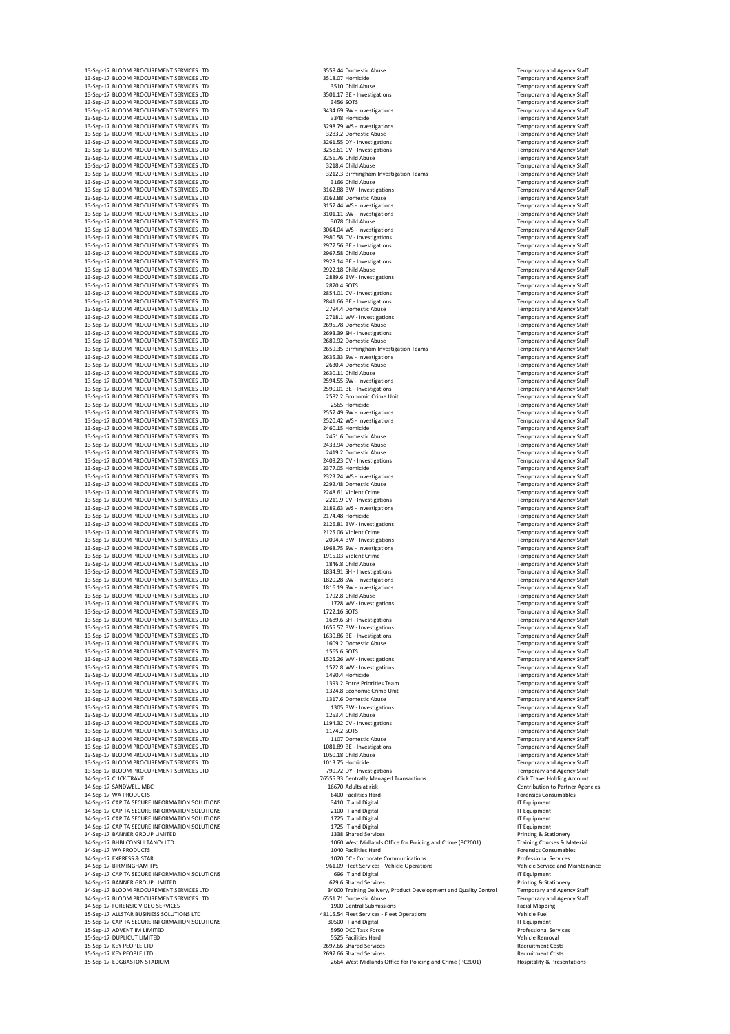13-Sep-17 BLOOM PROCUREMENT SERVICES LTD 3518.07 Homicide 3518.07 Homicide Temporary and Agency Staff 13-Sep-17 BLOOM PROCUREMENT SERVICES LTD **13-Sep-17 BLOOM PROCUREMENT SERVICES** LTD 3510 Child Abuse Temporary and Agency Staff 13-Sep-17 BLOOM PROCUREMENT SERVICES LTD **3501.17 BE** - Investigations 3501.17 BE - Investigations Temporary and Agency Staff 13-Sep-17 BLOOM PROCUREMENT SERVICES LTD 3456 SOTS Temporary and Agency Staff 13-Sep-17 BLOOM PROCUREMENT SERVICES LTD 3434.69 SW - Investigations Temporary and Agency Staff 13-Sep-17 BLOOM PROCUREMENT SERVICES LTD 3348 Homicide Temporary and Agency Staff 13-Sep-17 BLOOM PROCUREMENT SERVICES LTD **12-Sep-17 BLOOM PROCUREMENT SERVICES** LTD 3298.79 WS - Investigations 13-Sep-17 BLOOM PROCUREMENT SERVICES LTD **12-Sep-17 BLOOM PROCUREMENT SERVICES** LTD 3283.2 Domestic Abuse Temporary and Agency Staff 13-Sep-17 BLOOM PROCUREMENT SERVICES LTD 3261.55 DY - Investigations 3261.55 DY - Investigations 13-Sep-17 BLOOM PROCUREMENT SERVICES LTD **12-Sep-17 BLOOM PROCUREMENT SERVICES** LTD 3258.61 CV - Investigations 13-Sep-17 BLOOM PROCUREMENT SERVICES LTD **3256.76 Child Abuse** 3256.76 Child Abuse Temporary and Agency Staff 13-Sep-17 BLOOM PROCUREMENT SERVICES LTD 3218.4 Child Abuse Temporary and Agency Staff 13-Sep-17 BLOOM PROCUREMENT SERVICES LTD 3212.3 Birmingham Investigation Teams Temporary and Agency Staff 13-Sep-17 BLOOM PROCUREMENT SERVICES LTD **13-Sep-17 BLOOM PROCUREMENT SERVICES** LTD 3166 Child Abuse **Temporary and Agency Staff** 13-Sep-17 BLOOM PROCUREMENT SERVICES LTD 3162.88 BW - Investigations Temporary and Agency Staff 13-Sep-17 BLOOM PROCUREMENT SERVICES LTD **3162.88** Domestic Abuse 3162.88 Domestic Abuse Temporary and Agency Staff 13-Sep-17 BLOOM PROCUREMENT SERVICES LTD **12-12 COVID-100 COVID-2014** MS - Investigations Temporary and Agency Staff 13-Sep-17 BLOOM PROCUREMENT SERVICES LTD **1000 CONVERTIGAT SERVICES** LTD 3101.11 SW - Investigations Temporary and Agency Staff 13-Sep-17 BLOOM PROCUREMENT SERVICES LTD 3078 Child Abuse Temporary and Agency Staff 13-Sep-17 BLOOM PROCUREMENT SERVICES LTD 3064.04 WS - Investigations Temporary and Agency Staff 13-Sep-17 BLOOM PROCUREMENT SERVICES LTD 2980.58 CV - Investigations 200558 CV - Investigations 13-Sep-17 BLOOM PROCUREMENT SERVICES LTD 2977.56 BE - Investigations 2007.56 BE - Investigations 13-Sep-17 BLOOM PROCUREMENT SERVICES LTD 2967.58 Child Abuse Temporary and Agency Staff 13-Sep-17 BLOOM PROCUREMENT SERVICES LTD 2928.14 BE - Investigations 2008.14 BE - Investigations 13-Sep-17 BLOOM PROCUREMENT SERVICES LTD 2922.18 Child Abuse Temporary and Agency Staff 13-Sep-17 BLOOM PROCUREMENT SERVICES LTD 2889.6 BW - Investigations Temporary and Agency Staff 13-Sep-17 BLOOM PROCUREMENT SERVICES LTD 2870.4 SOTS Temporary and Agency Staff 13-Sep-17 BLOOM PROCUREMENT SERVICES LTD **2854.01 CV** - Investigations **13-Sep-17 BLOOM PROCUREMENT SERVICES LTD** 13-Sep-17 BLOOM PROCUREMENT SERVICES LTD 2841.66 BE - Investigations Temporary and Agency Staff 13-Sep-17 BLOOM PROCUREMENT SERVICES LTD 2794.4 Domestic Abuse Temporary and Agency Staff 13-Sep-17 BLOOM PROCUREMENT SERVICES LTD **12718.1 WV** - Investigations **13-Sep-17 BLOOM PROCUREMENT SERVICES LTD** 13-Sep-17 BLOOM PROCUREMENT SERVICES LTD 2695.78 Domestic Abuse Temporary and Agency Staff 13-Sep-17 BLOOM PROCUREMENT SERVICES LTD 2693.39 SH - Investigations Temporary and Agency Staff 13-Sep-17 BLOOM PROCUREMENT SERVICES LTD 2689.92 Domestic Abuse Temporary and Agency Staff 13-Sep-17 BLOOM PROCUREMENT SERVICES LTD 2659.35 Birmingham Investigation Teams Temporary and Agency Staff 13-Sep-17 BLOOM PROCUREMENT SERVICES LTD 2635.33 SW - Investigations Temporary and Agency Staff 13-Sep-17 BLOOM PROCUREMENT SERVICES LTD 2630.4 Domestic Abuse Temporary and Agency Staff 13-Sep-17 BLOOM PROCUREMENT SERVICES LTD 2630.11 Child Abuse Temporary and Agency Staff 13-Sep-17 BLOOM PROCUREMENT SERVICES LTD 2594.55 SW - Investigations Temporary and Agency Staff 13-Sep-17 BLOOM PROCUREMENT SERVICES LTD 2590.01 BE - Investigations Temporary and Agency Staff 13-Sep-17 BLOOM PROCUREMENT SERVICES LTD 2582.2 Economic Crime Unit 2582.2 Economic Crime Unit 13-Sep-17 BLOOM PROCUREMENT SERVICES LTD 2565 Homicide Temporary and Agency Staff 13-Sep-17 BLOOM PROCUREMENT SERVICES LTD 2557.49 SW - Investigations Temporary and Agency Staff 13-Sep-17 BLOOM PROCUREMENT SERVICES LTD 2520.42 WS - Investigations Temporary and Agency Staff 13-Sep-17 BLOOM PROCUREMENT SERVICES LTD **2460.15 Homicide** 2460.15 Homicide Temporary and Agency Staff 13-Sep-17 BLOOM PROCUREMENT SERVICES LTD 2451.6 Domestic Abuse Temporary and Agency Staff 13-Sep-17 BLOOM PROCUREMENT SERVICES LTD 2433.94 Domestic Abuse Temporary and Agency Staff 13-Sep-17 BLOOM PROCUREMENT SERVICES LTD 2419.2 Domestic Abuse Temporary and Agency Staff 13-Sep-17 BLOOM PROCUREMENT SERVICES LTD 2409.23 CV - Investigations Temporary and Agency Staff 13-Sep-17 BLOOM PROCUREMENT SERVICES LTD **13-Sep-17 BLOOM PROCUREMENT SERVICES** LTD 2377.05 Homicide Temporary and Agency Staff 13-Sep-17 BLOOM PROCUREMENT SERVICES LTD 2323.24 WS - Investigations Temporary and Agency Staff 13-Sep-17 BLOOM PROCUREMENT SERVICES LTD 2292.48 Domestic Abuse Temporary and Agency Staff 13-Sep-17 BLOOM PROCUREMENT SERVICES LTD **12-Sep-17 BLOOM PROCUREMENT SERVICES** LTD 2248.61 Violent Crime Temporary and Agency Staff 13-Sep-17 BLOOM PROCUREMENT SERVICES LTD 2211.9 CV - Investigations 2211.9 CV - Investigations Temporary and Agency Staff 13-Sep-17 BLOOM PROCUREMENT SERVICES LTD 2189.63 WS - Investigations Temporary and Agency Staff 13-Sep-17 BLOOM PROCUREMENT SERVICES LTD 2174.48 Homicide Temporary and Agency Staff 13-Sep-17 BLOOM PROCUREMENT SERVICES LTD 2126.81 BW - Investigations Temporary and Agency Staff 13-Sep-17 BLOOM PROCUREMENT SERVICES LTD **125.06 Violent Crime** 2125.06 Violent Crime Temporary and Agency Staff 13-Sep-17 BLOOM PROCUREMENT SERVICES LTD 2094.4 BW - Investigations Temporary and Agency Staff 13-Sep-17 BLOOM PROCUREMENT SERVICES LTD 1968.75 SW - Investigations Temporary and Agency Staff 13-Sep-17 BLOOM PROCUREMENT SERVICES LTD **1915.03** Violent Crime 1915.03 Violent Crime Temporary and Agency Staff 13-Sep-17 BLOOM PROCUREMENT SERVICES LTD **1846.8** Child Abuse 1846.8 Child Abuse Temporary and Agency Staff 13-Sep-17 BLOOM PROCUREMENT SERVICES LTD 1834.91 SH - Investigations Temporary and Agency Staff 13-Sep-17 BLOOM PROCUREMENT SERVICES LTD 1820.28 SW - Investigations 1820.28 SW - Investigations 13-Sep-17 BLOOM PROCUREMENT SERVICES LTD 1816.19 SW - Investigations 1816.19 SW - Investigations Temporary and Agency Staff 13-Sep-17 BLOOM PROCUREMENT SERVICES LTD 1792.8 Child Abuse 1792.8 Child Abuse Temporary and Agency Staff 13-Sep-17 BLOOM PROCUREMENT SERVICES LTD 1728 WV - Investigations Temporary and Agency Staff 13-Sep-17 BLOOM PROCUREMENT SERVICES LTD 1722.16 SOTS Temporary and Agency Staff 13-Sep-17 BLOOM PROCUREMENT SERVICES LTD **1689.6** SH - Investigations Temporary and Agency Staff 13-Sep-17 BLOOM PROCUREMENT SERVICES LTD 1655.57 BW - Investigations Temporary and Agency Staff 13-Sep-17 BLOOM PROCUREMENT SERVICES LTD 1630.86 BE - Investigations Temporary and Agency Staff 13-Sep-17 BLOOM PROCUREMENT SERVICES LTD 1609.2 Domestic Abuse Temporary and Agency Staff 13-Sep-17 BLOOM PROCUREMENT SERVICES LTD 1565.6 SOTS Temporary and Agency Staff 13-Sep-17 BLOOM PROCUREMENT SERVICES LTD 1525.26 WV - Investigations 1525.26 WV - Investigations Temporary and Agency Staff 13-Sep-17 BLOOM PROCUREMENT SERVICES LTD **1522.8 WV** - Investigations Temporary and Agency Staff 13-Sep-17 BLOOM PROCUREMENT SERVICES LTD 1490.4 Homicide Temporary and Agency Staff 13-Sep-17 BLOOM PROCUREMENT SERVICES LTD 1393.2 Force Priorities Team Temporary and Agency Staff 13-Sep-17 BLOOM PROCUREMENT SERVICES LTD **1324.8** Economic Crime Unit Temporary and Agency Staff 13-Sep-17 BLOOM PROCUREMENT SERVICES LTD 1317.6 Domestic Abuse Temporary and Agency Staff 13-Sep-17 BLOOM PROCUREMENT SERVICES LTD **1305 BW** - Investigations 1305 BW - Investigations Temporary and Agency Staff 13-Sep-17 BLOOM PROCUREMENT SERVICES LTD **1253.4** Child Abuse 1253.4 Child Abuse Temporary and Agency Staff 13-Sep-17 BLOOM PROCUREMENT SERVICES LTD **1194.32 CV** - Investigations 1194.32 CV - Investigations Temporary and Agency Staff 13-Sep-17 BLOOM PROCUREMENT SERVICES LTD 1174.2 SOTS Temporary and Agency Staff 13-Sep-17 BLOOM PROCUREMENT SERVICES LTD **1107 Domestic Abuse** 1107 Domestic Abuse Temporary and Agency Staff 13-Sep-17 BLOOM PROCUREMENT SERVICES LTD **1081.89 BE - Investigations** 1081.89 BE - Investigations Temporary and Agency Staff 13-Sep-17 BLOOM PROCUREMENT SERVICES LTD 1050.18 Child Abuse Temporary and Agency Staff 13-Sep-17 BLOOM PROCUREMENT SERVICES LTD **1013.75 Homicide** 1013.75 Homicide Temporary and Agency Staff 13-Sep-17 BLOOM PROCUREMENT SERVICES LTD **12-Sep-17 BLOOM PROCUREMENT SERVICES** LTD 100 Temporary and Agency Staff 14-Sep-17 CLICK TRAVEL 76555.33 Centrally Managed Transactions Click Travel Holding Account 14-Sep-17 SANDWELL MBC 16670 Adults at risk Contribution to Partner Agencies 14-Sep-17 WA PRODUCTS 6400 Facilities Hard Forensics Consumables 14-Sep-17 CAPITA SECURE INFORMATION SOLUTIONS **3410 IT and Digital** 3410 IT and Digital IT Equipment 14-Sep-17 CAPITA SECURE INFORMATION SOLUTIONS **14-Sep-17 CAPITA SECURE INFORMATION SOLUTIONS** 2100 IT and Digital 14-Sep-17 CAPITA SECURE INFORMATION SOLUTIONS **1725 IT and Digital** 1725 IT and Digital 14-Sep-17 CAPITA SECURE INFORMATION SOLUTIONS 14-Sep-17 CAPITA SECURE INFORMATION SOLUTIONS **1725 IT and Digital** 1725 IT and Digital 14-Sep-17 CAPITA SECURE INFORMATION SOLUTIONS 14-Sep-17 BANNER GROUP LIMITED 1338 Shared Services Printing & Stationery 14-Sep-17 BHBI CONSULTANCY LTD 1060 West Midlands Office for Policing and Crime (PC2001) Training Courses & Material 14-Sep-17 WA PRODUCTS 1040 Facilities Hard Forensics Consumables 14-Sep-17 EXPRESS & STAR 1020 CC - Corporate Communications Professional Services 14-Sep-17 BIRMINGHAM TPS 961.09 Fleet Services - Vehicle Operations Vehicle Service and Maintenance 14-Sep-17 CAPITA SECURE INFORMATION SOLUTIONS **696 IT and Digital** 696 IT and Digital IT Equipment 14-Sep-17 BANNER GROUP LIMITED **12-Sep-17 BANNER GROUP LIMITED** 629.6 Shared Services **Printing & Stationery Printing & Stationery** 14-Sep-17 BLOOM PROCUREMENT SERVICES LTD 34000 Training Delivery, Product Development and Quality Control Temporary and Agency Staff 14-Sep-17 BLOOM PROCUREMENT SERVICES LTD **100 CONFIDENT SERVICES** LTD 6551.71 Domestic Abuse Temporary and Agency Staff 14-Sep-17 FORENSIC VIDEO SERVICES 1900 Central Submissions Facial Mapping 15-Sep-17 ALLSTAR BUSINESS SOLUTIONS LTD 48115.54 Fleet Services - Fleet Operations Vehicle Fuel 15-Sep-17 CAPITA SECURE INFORMATION SOLUTIONS **1996** and 2008 10 and Digital IT Equipment in the separation of the separation of the separation of the separation of the separation of the separation of the separation of the 15-Sep-17 ADVENT IM LIMITED 5950 DCC Task Force Professional Services 15-Sep-17 DUPLICUT LIMITED 5525 Facilities Hard Vehicle Removal 15-Sep-17 KEY PEOPLE LTD 2697.66 Shared Services Recruitment Costs 15-Sep-17 KEY PEOPLE LTD 2697.66 Shared Services Recruitment Costs

13-Sep-17 BLOOM PROCUREMENT SERVICES LTD **3558.44 Domestic Abuse** 3558.44 Domestic Abuse Temporary and Agency Staff 15-Sep-17 EDGBASTON STADIUM 2664 West Midlands Office for Policing and Crime (PC2001) Hospitality & Presentations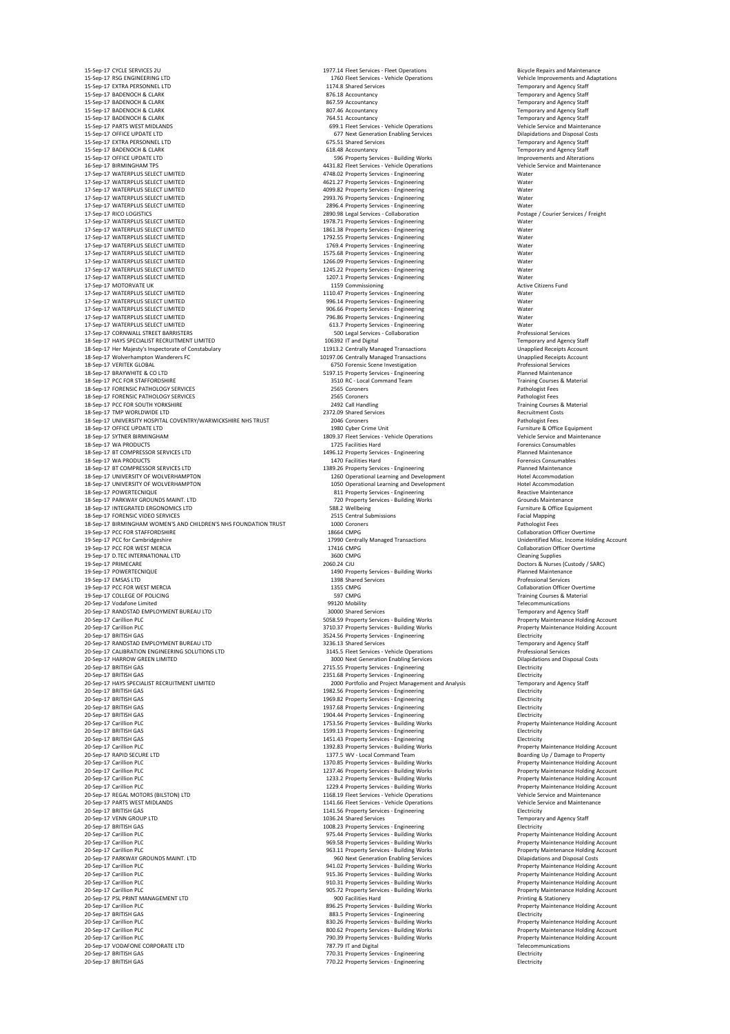15-Sep-17 CYCLE SERVICES 2U 1977.14 Fleet Services - Fleet Operations Bicycle Repairs and Maintenance 15-Sep-17 RSG ENGINEERING LTD 1760 Fleet Services - Vehicle Operations Vehicle Improvements and Adaptations 15-Sep-17 EXTRA PERSONNEL LTD 1174.8 Shared Services Temporary and Agency Staff 15-Sep-17 BADENOCH & CLARK **876.18 Accountancy** 876.18 Accountancy **876.18 Accountancy** Temporary and Agency Staff 15-Sep-17 BADENOCH & CLARK **867.59 Accountancy** 867.59 Accountancy **15-Sep-17 BADENOCH & CLARK** 15-Sep-17 BADENOCH & CLARK **807.46 Accountancy** 807.46 Accountancy **Accountancy** Temporary and Agency Staff 15-Sep-17 BADENOCH & CLARK 764.51 Accountancy Temporary and Agency Staff 15-Sep-17 PARTS WEST MIDLANDS 699.1 Fleet Services - Vehicle Operations Vehicle Service and Maintenance 15-Sep-17 OFFICE UPDATE LTD 677 Next Generation Enabling Services Dilapidations and Disposal Costs 15-Sep-17 EXTRA PERSONNEL LTD **EXTRA PERSONNEL LTD** 675.51 Shared Services **675.51 Shared Services** Temporary and Agency Staff 15-Sep-17 BADENOCH & CLARK 618.48 Accountancy Temporary and Agency Staff 15-Sep-17 OFFICE UPDATE LTD **596 Property Services - Building Works** 15-Sep-17 OFFICE UPDATE LTD 16-Sep-17 BIRMINGHAM TPS 4431.82 Fleet Services - Vehicle Operations Vehicle Service and Maintenance 17-Sep-17 WATERPLUS SELECT LIMITED 4748.02 Property Services - Engineering Water 17-Sep-17 WATERPLUS SELECT LIMITED 4621.27 Property Services - Engineering Water 17-Sep-17 WATERPLUS SELECT LIMITED 4099.82 Property Services - Engineering Water 17-Sep-17 WATERPLUS SELECT LIMITED 2993.76 Property Services - Engineering Water 17-Sep-17 WATERPLUS SELECT LIMITED 2896.4 Property Services - Engineering Water 17-Sep-17 RICO LOGISTICS 2890.98 Legal Services - Collaboration Postage / Courier Services / Freight 17-Sep-17 WATERPLUS SELECT LIMITED 1978.71 Property Services - Engineering Water 17-Sep-17 WATERPLUS SELECT LIMITED 1861.38 Property Services - Engineering Water 17-Sep-17 WATERPLUS SELECT LIMITED 1792.55 Property Services - Engineering Water 17-Sep-17 WATERPLUS SELECT LIMITED 1769.4 Property Services - Engineering Water 17-Sep-17 WATERPLUS SELECT LIMITED 1575.68 Property Services - Engineering Water 17-Sep-17 WATERPLUS SELECT LIMITED 1266.09 Property Services - Engineering Water 17-Sep-17 WATERPLUS SELECT LIMITED 1245.22 Property Services - Engineering Water 17-Sep-17 WATERPLUS SELECT LIMITED 1207.1 Property Services - Engineering Water 17-Sep-17 MOTORVATE UK 2012 Active Citizens Fund 17-Sep-17 WATERPLUS SELECT LIMITED 1110.47 Property Services - Engineering Water 17-Sep-17 WATERPLUS SELECT LIMITED 996.14 Property Services - Engineering Water 17-Sep-17 WATERPLUS SELECT LIMITED 906.66 Property Services - Engineering Water 17-Sep-17 WATERPLUS SELECT LIMITED 796.86 Property Services - Engineering Water 17-Sep-17 WATERPLUS SELECT LIMITED 613.7 Property Services - Engineering Water 17-Sep-17 CORNWALL STREET BARRISTERS 500 Legal Services - Collaboration Professional Services 18-Sep-17 HAYS SPECIALIST RECRUITMENT LIMITED 106392 IT and Digital 106392 IT and Digital Temporary and Agency Staff 18-Sep-17 Her Majesty's Inspectorate of Constabulary 11913.2 Centrally Managed Transactions Unapplied Receipts Account 18-Sep-17 Wolverhampton Wanderers FC 10197.06 Centrally Managed Transactions Unapplied Receipts Account 18-Sep-17 VERITEK GLOBAL 6750 Forensic Scene Investigation Professional Services 18-Sep-17 BRAYWHITE & CO LTD 5197.15 Property Services - Engineering Planned Maintenance 18-Sep-17 PCC FOR STAFFORDSHIRE 3510 RC - Local Command Team Training Courses & Material 18-Sep-17 FORENSIC PATHOLOGY SERVICES 2565 Coroners Pathologist Fees 18-Sep-17 FORENSIC PATHOLOGY SERVICES 2565 Coroners Pathologist Fees 18-Sep-17 PCC FOR SOUTH YORKSHIRE 2492 Call Handling Training Courses & Material 18-Sep-17 TMP WORLDWIDE LTD 2372.09 Shared Services Recruitment Costs 18-Sep-17 UNIVERSITY HOSPITAL COVENTRY/WARWICKSHIRE NHS TRUST 2046 Coroners 20046 Coroners Pathologist Fees 18-Sep-17 OFFICE UPDATE LTD **1980** Cyber Crime Unit 1980 Cyber Crime Unit Furniture & Office Equipment 18-Sep-17 SYTNER BIRMINGHAM 1809.37 Fleet Services - Vehicle Operations Vehicle Service and Maintenance 18-Sep-17 WA PRODUCTS 1725 Facilities Hard Forensics Consumables 18-Sep-17 BT COMPRESSOR SERVICES LTD 1496.12 Property Services - Engineering Planned Maintenance 18-Sep-17 WA PRODUCTS 1470 Facilities Hard Forensics Consumables 18-Sep-17 BT COMPRESSOR SERVICES LTD 1389.26 Property Services - Engineering Planned Maintenance 18-Sep-17 UNIVERSITY OF WOLVERHAMPTON **1260** Operational Learning and Development Hotel Accommodation 18-Sep-17 UNIVERSITY OF WOLVERHAMPTON 1050 Operational Learning and Development Hotel Accommodation 18-Sep-17 POWERTECNIQUE 811 Property Services - Engineering Reactive Maintenance 18-Sep-17 PARKWAY GROUNDS MAINT. LTD 720 Property Services - Building Works Grounds Maintenance 18-Sep-17 INTEGRATED ERGONOMICS LTD 588.2 Wellbeing Furniture & Office Equipment 18-Sep-17 FORENSIC VIDEO SERVICES 2515 Central Submissions Facial Mapping 18-Sep-17 BIRMINGHAM WOMEN'S AND CHILDREN'S NHS FOUNDATION TRUST 1000 Coroners 1000 Coroners Pathologist Fees 19-Sep-17 PCC FOR STAFFORDSHIRE 18664 CMPG Collaboration Officer Overtime 19-Sep-17 PCC for Cambridgeshire 17990 Centrally Managed Transactions Unidentified Misc. Income Holding Account 19-Sep-17 PCC FOR WEST MERCIA 17416 CMPG Collaboration Officer Overtime 19-Sep-17 D.TEC INTERNATIONAL LTD **SEPART CLEARING SUPPLIES** 3600 CMPG Cleaning Supplies 19-Sep-17 PRIMECARE 2060.24 CJU Doctors & Nurses (Custody / SARC) 19-Sep-17 POWERTECNIQUE 1490 Property Services - Building Works Planned Maintenance 19-Sep-17 EMSAS LTD 1398 Shared Services Professional Services 19-Sep-17 PCC FOR WEST MERCIA 1355 CMPG Collaboration Officer Overtime 19-Sep-17 COLLEGE OF POLICING 597 CMPG Training Courses & Material 20-Sep-17 Vodafone Limited 99120 Mobility Telecommunications 20-Sep-17 RANDSTAD EMPLOYMENT BUREAU LTD 30000 Shared Services Temporary and Agency Staff 20-Sep-17 Carillion PLC 600 100 100 100 100 100 5058.59 Suilding Southern Services - Building Works 20-Sep-17 Carillion PLC 20-Sep-17 Carillion PLC 3710.37 Property Services - Building Works 3710.37 Property Services - Building Works Property Maintenance Holding Account 20-Sep-17 BRITISH GAS 3524.56 Property Services - Engineering Electricity 20-Sep-17 RANDSTAD EMPLOYMENT BUREAU LTD **3236.13 Shared Services** 3236.13 Shared Services Temporary and Agency Staff 20-Sep-17 CALIBRATION ENGINEERING SOLUTIONS LTD 3145.5 Fleet Services - Vehicle Operations Professional Services 20-Sep-17 HARROW GREEN LIMITED 3000 Next Generation Enabling Services Dilapidations and Disposal Costs 20-Sep-17 BRITISH GAS 2715.55 Property Services - Engineering Electricity 20-Sep-17 BRITISH GAS 2351.68 Property Services - Engineering Electricity 20-Sep-17 HAYS SPECIALIST RECRUITMENT LIMITED 2000 Portfolio and Project Management and Analysis Temporary and Agency Staff 20-Sep-17 BRITISH GAS 1982.56 Property Services - Engineering Electricity 20-Sep-17 BRITISH GAS 1969.82 Property Services - Engineering Electricity 20-Sep-17 BRITISH GAS 1937.68 Property Services - Engineering Electricity 20-Sep-17 BRITISH GAS 1904.44 Property Services - Engineering Electricity 20-Sep-17 Carillion PLC 1753.56 Property Services - Building Works Property Maintenance Holding Account 20-Sep-17 BRITISH GAS 1599.13 Property Services - Engineering Electricity 20-Sep-17 BRITISH GAS 1451.43 Property Services - Engineering Electricity 20-Sep-17 Carillion PLC 1392.83 Property Services - Building Works Property Maintenance Holding Account 20-Sep-17 RAPID SECURE LTD 1377.5 WV - Local Command Team Boarding Up / Damage to Property 20-Sep-17 Carillion PLC **1370.85 Property Services - Building Works** Property Maintenance Holding Account 20-Sep-17 Carillion PLC 1237.46 Property Services - Building Works Property Services - Building Works Property Maintenance Holding Account 20-Sep-17 Carillion PLC 1233.2 Property Services - Building Works Property Maintenance Holding Account 20-Sep-17 Carillion PLC **1229.4 Property Services - Building Works** Property Maintenance Holding Account 20-Sep-17 REGAL MOTORS (BILSTON) LTD 1168.19 Fleet Services - Vehicle Operations Vehicle Service and Maintenance 20-Sep-17 PARTS WEST MIDLANDS 1141.66 Fleet Services - Vehicle Operations Vehicle Service and Maintenance 20-Sep-17 BRITISH GAS 1141.56 Property Services - Engineering Electricity 20-Sep-17 VENN GROUP LTD 1036.24 Shared Services 20-Sep-17 VENN GROUP LTD 1036.24 Shared Services 20-Sep-17 BRITISH GAS 1008.23 Property Services - Engineering Electricity 20-Sep-17 Carillion PLC 975.44 Property Services - Building Works Property Maintenance Holding Account 20-Sep-17 Carillion PLC **1969.58 Property Services - Building Works** Property Maintenance Holding Account 20-Sep-17 Carillion PLC 963.11 Property Services - Building Works Property Maintenance Holding Account 20-Sep-17 PARKWAY GROUNDS MAINT. LTD 960 Next Generation Enabling Services Dilapidations and Disposal Costs 20-Sep-17 Carillion PLC **1941.02 Property Services - Building Works** Property Maintenance Holding Account 20-Sep-17 Carillion PLC 915.36 Property Services - Building Works Property Maintenance Holding Account 20-Sep-17 Carillion PLC 910.31 Property Services - Building Works Property Maintenance Holding Account 20-Sep-17 Carillion PLC 905.72 Property Services - Building Works Property Maintenance Holding Account 20-Sep-17 PSL PRINT MANAGEMENT LTD **120-Sep-17 PSL PRINT MANAGEMENT LTD** 900 Facilities Hard Printing & Stationery 20-Sep-17 Carillion PLC 896.25 Property Services - Building Works Property Maintenance Holding Account 20-Sep-17 BRITISH GAS 883.5 Property Services - Engineering Electricity 20-Sep-17 Carillion PLC 830.26 Property Services - Building Works Property Maintenance Holding Account 20-Sep-17 Carillion PLC **800.62 Property Services - Building Works** Property Maintenance Holding Account 20-Sep-17 Carillion PLC **1992 Carillion PLC** 20-Sep-17 Carillion PLC 20-Sep-17 Carillion PLC 20-Sep-17 VODAFONE CORPORATE LTD **20-Sep-17 VODAFONE CORPORATE LTD** 287.79 IT and Digital Telecommunications 20-Sep-17 BRITISH GAS 770.31 Property Services - Engineering Electricity 20-Sep-17 BRITISH GAS 770.22 Property Services - Engineering Electricity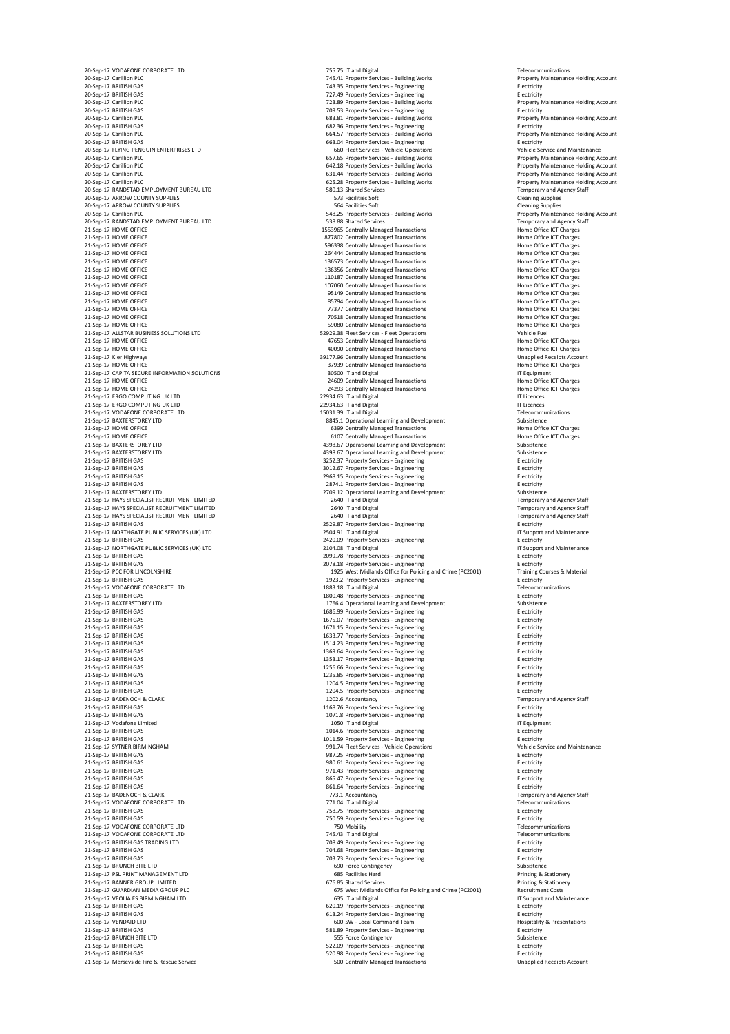20-Sep-17 Carillion PLC **1996 120-Sep-17 Carillion PLC** 20-Sep-17 Carillion PLC 20-Sep-17 BRITISH GAS 743.35 Property Services - Engineering Electricity 20-Sep-17 BRITISH GAS 727.49 Property Services - Engineering Electricity 20-Sep-17 Carillion PLC 723.89 Property Services - Building Works Property Maintenance Holding Account 20-Sep-17 BRITISH GAS 709.53 Property Services - Engineering Electricity 20-Sep-17 Carillion PLC **683.81 Property Services - Building Works** Property Services - Building Works **Property Maintenance Holding Account** 20-Sep-17 BRITISH GAS 682.36 Property Services - Engineering Electricity 20-Sep-17 Carillion PLC **1986 COVID-100 COVID-100 COVID-100** 664.57 Property Services - Building Works Property Maintenance Holding Account 20-Sep-17 BRITISH GAS 663.04 Property Services - Engineering Electricity 20-Sep-17 FLYING PENGUIN ENTERPRISES LTD 660 Fleet Services - Vehicle Operations Vehicle Service and Maintenance 20-Sep-17 Carillion PLC **1996 Property Services - Building Works** Property Services - Building Works Property Maintenance Holding Account 20-Sep-17 Carillion PLC 642.18 Property Services - Building Works Property Maintenance Holding Account 20-Sep-17 Carillion PLC 631.44 Property Services - Building Works Property Maintenance Holding Account 20-Sep-17 Carillion PLC **625.28 Property Services - Building Works** Property Maintenance Holding Account 20-Sep-17 RANDSTAD EMPLOYMENT BUREAU LTD 580.13 Shared Services Temporary and Agency Staff 20-Sep-17 ARROW COUNTY SUPPLIES **1990 COUNTY SUPPLIES** 573 Facilities Soft 573 Facilities Soft 573 Facilities Soft 20-Sep-17 ARROW COUNTY SUPPLIES **1990 The Solution Supplies 564 Facilities Soft** 564 Facilities Soft Cleaning Supplies 20-Sep-17 Carillion PLC **198.25 Property Services - Building Works** Property Maintenance Holding Account 20-Sep-17 RANDSTAD EMPLOYMENT BUREAU LTD **1999 1200 SEPANDS SOMES AREA** SHARED STAGS Shared Services Temporary and Agency Staff 21-Sep-17 HOME OFFICE **1253965** Centrally Managed Transactions **1553965** Centrally Managed Transactions **Home Office ICT Charges** 21-Sep-17 HOME OFFICE **877802 Centrally Managed Transactions** and the state of the Office ICT Charges 21-Sep-17 HOME OFFICE **12.1 CHOOPED 21-Sep-17 HOME OFFICE ICT Charges** 596338 Centrally Managed Transactions **Home Office ICT Charges** 21-Sep-17 HOME OFFICE 26444 Centrally Managed Transactions 264444 Centrally Managed Transactions 2015 2017 Amende CHT Charges 21-Sep-17 HOME OFFICE **127 CENTRA 136573** Centrally Managed Transactions and the Managed Transactions Home Office ICT Charges 21-Sep-17 HOME OFFICE **126356** Centrally Managed Transactions **136356** Centrally Managed Transactions **Home Office ICT Charges** 21-Sep-17 HOME OFFICE 110187 Centrally Managed Transactions and the CHT Charges 21-Sep-17 HOME OFFICE **107060 Centrally Managed Transactions** 107060 Centrally Managed Transactions **Home Office ICT Charges** 21-Sep-17 HOME OFFICE **Exterior State 10 and September 25149** Centrally Managed Transactions Home Office ICT Charges 21-Sep-17 HOME OFFICE **85794 Centrally Managed Transactions** 85794 Centrally Managed Transactions **Home Office ICT Charges** 21-Sep-17 HOME OFFICE **The CONTROLLING CONTROL** 27377 Centrally Managed Transactions **Home Office ICT Charges** 21-Sep-17 HOME OFFICE **The CONSTRUCT CHARGE 120518 Centrally Managed Transactions** Home Office ICT Charges 21-Sep-17 HOME OFFICE **1999 CENTRAL SEPTITE SEPTITE SEPTITE SETS** 59080 Centrally Managed Transactions **Home Office ICT Charges** 21-Sep-17 ALLSTAR BUSINESS SOLUTIONS LTD 52929.38 Fleet Services - Fleet Operations Vehicle Fuel 21-Sep-17 HOME OFFICE **12.1 CHOME OFFICE** 47653 Centrally Managed Transactions and the Managed Transactions and the Managed Transactions and the Managed Transactions and the Manages of the Manages of the Manages of the Man 21-Sep-17 HOME OFFICE **12.1 According to the COVID-1000 Centrally Managed Transactions** and the Managed Transactions and the Office ICT Charges 21-Sep-17 Kier Highways 39177.96 Centrally Managed Transactions Unapplied Receipts Account 21-Sep-17 HOME OFFICE 37939 Centrally Managed Transactions 37939 Centrally Managed Transactions and Home Office ICT Charges 21-Sep-17 CAPITA SECURE INFORMATION SOLUTIONS **30500** IT and Digital 30500 IT and Digital 21-Sep-17 HOME OFFICE 2002 24609 Centrally Managed Transactions 24609 Centrally Managed Transactions 201-Sep-17 Home Office ICT Charges 21-Sep-17 HOME OFFICE 21 2009 24293 Centrally Managed Transactions 24293 Centrally Managed Transactions 2015 2009 2009 2015 21-Sep-17 ERGO COMPUTING UK LTD **22934.63 IT and Digital** 22934.63 IT and Digital IT Licences 21-Sep-17 ERGO COMPUTING UK LTD **22934.63 IT and Digital** 22934.63 IT and Digital IT Licences 21-Sep-17 VODAFONE CORPORATE LTD **15031.39 IT and Digital** 15031.39 IT and Digital Telecommunications 21-Sep-17 BAXTERSTOREY LTD Subsistence Subsistence and Subsistence Subsistence Subsistence 21-Sep-17 HOME OFFICE 6399 Centrally Managed Transactions Home Office ICT Charges 21-Sep-17 HOME OFFICE **12.1 CONSUMER 2006 2006 2007** 6107 Centrally Managed Transactions **12.1** Home Office ICT Charges 21-Sep-17 BAXTERSTOREY LTD 4398.67 Operational Learning and Development Subsistence 21-Sep-17 BAXTERSTOREY LTD Subsistence and Development Alternative Associational Learning and Development Subsistence 21-Sep-17 BRITISH GAS **3252.37 Property Services - Engineering** Electricity 21-Sep-17 BRITISH GAS 3012.67 Property Services - Engineering Electricity 21-Sep-17 BRITISH GAS 2968.15 Property Services - Engineering Electricity 21-Sep-17 BRITISH GAS 2874.1 Property Services - Engineering Electricity 21-Sep-17 BAXTERSTOREY LTD 2709.12 Operational Learning and Development Subsistence 21-Sep-17 HAYS SPECIALIST RECRUITMENT LIMITED 2640 IT and Digital 2640 IT and Digital Temporary and Agency Staff 21-Sep-17 HAYS SPECIALIST RECRUITMENT LIMITED **2640 T** and Digital 2640 IT and Digital Temporary and Agency Staf 21-Sep-17 HAYS SPECIALIST RECRUITMENT LIMITED 2640 IT and Digital 2640 IT and Digital Temporary and Agency Staff 21-Sep-17 BRITISH GAS 2529.87 Property Services - Engineering Electricity 21-Sep-17 NORTHGATE PUBLIC SERVICES (UK) LTD 2504.91 IT and Digital 2504.91 IT and Digital IT Support and Maintenance 21-Sep-17 BRITISH GAS 2420.09 Property Services - Engineering Electricity 21-Sep-17 NORTHGATE PUBLIC SERVICES (UK) LTD 2104.08 IT and Digital 2104.08 IT and Digital IT Support and Maintenance 21-Sep-17 BRITISH GAS 2099.78 Property Services - Engineering Electricity 21-Sep-17 BRITISH GAS 2078.18 Property Services - Engineering Electricity 21-Sep-17 PCC FOR LINCOLNSHIRE 1925 West Midlands Office for Policing and Crime (PC2001) Training Courses & Material 21-Sep-17 BRITISH GAS 1923.2 Property Services - Engineering Electricity 21-Sep-17 VODAFONE CORPORATE LTD 1883.18 IT and Digital 1883.18 IT and Digital 1883.18 IT and Digital 1883.18 IT and Digital 1883.18 IT and Digital 1883.18 IT and Digital 1883.18 IT and Digital 1883.18 IT and Digital 1883. 21-Sep-17 BRITISH GAS 1800.48 Property Services - Engineering Electricity 21-Sep-17 BAXTERSTOREY LTD Subsistence Subsistence 1766.4 Operational Learning and Development Subsistence 21-Sep-17 BRITISH GAS 1686.99 Property Services - Engineering Electricity 21-Sep-17 BRITISH GAS 1675.07 Property Services - Engineering Electricity 21-Sep-17 BRITISH GAS 1671.15 Property Services - Engineering Electricity 21-Sep-17 BRITISH GAS 1633.77 Property Services - Engineering Electricity 21-Sep-17 BRITISH GAS 1514.23 Property Services - Engineering Electricity 21-Sep-17 BRITISH GAS 1369.64 Property Services - Engineering Electricity 21-Sep-17 BRITISH GAS 1353.17 Property Services - Engineering Electricity 21-Sep-17 BRITISH GAS 1256.66 Property Services - Engineering Electricity 21-Sep-17 BRITISH GAS 1235.85 Property Services - Engineering Electricity 21-Sep-17 BRITISH GAS 1204.5 Property Services - Engineering Electricity 21-Sep-17 BRITISH GAS 1204.5 Property Services - Engineering Electricity 21-Sep-17 BADENOCH & CLARK 1202.6 Accountancy Temporary and Agency Staff 21-Sep-17 BRITISH GAS 1168.76 Property Services - Engineering Electricity 21-Sep-17 BRITISH GAS 1071.8 Property Services - Engineering Electricity 21-Sep-17 Vodafone Limited 1050 IT and Digital IT Equipment 21-Sep-17 BRITISH GAS 1014.6 Property Services - Engineering Electricity 21-Sep-17 BRITISH GAS 1011.59 Property Services - Engineering Electricity 21-Sep-17 SYTNER BIRMINGHAM 991.74 Fleet Services - Vehicle Operations Vehicle Service and Maintenance 21-Sep-17 BRITISH GAS 987.25 Property Services - Engineering Electricity 21-Sep-17 BRITISH GAS 980.61 Property Services - Engineering Electricity 21-Sep-17 BRITISH GAS 971.43 Property Services - Engineering Electricity 21-Sep-17 BRITISH GAS 865.47 Property Services - Engineering Electricity 21-Sep-17 BRITISH GAS Electricity 21-Sep-17 BADENOCH & CLARK **The CLARK** 273.1 Accountancy **21-Sep-17 BADENOCH & CLARK** 201-Sep-17 BADENOCH & CLARK 21-Sep-17 VODAFONE CORPORATE LTD **1200 CORPORATE LTD** 271.04 IT and Digital 21-Sep-17 VODAFONE CORPORATE LTD 21-Sep-17 BRITISH GAS 758.75 Property Services - Engineering Electricity 21-Sep-17 BRITISH GAS 750.59 Property Services - Engineering Electricity 21-Sep-17 VODAFONE CORPORATE LTD 750 Mobility Telecommunications 21-Sep-17 VODAFONE CORPORATE LTD 745.43 IT and Digital Telecommunications 21-Sep-17 BRITISH GAS TRADING LTD 708.49 Property Services - Engineering Electricity 21-Sep-17 BRITISH GAS 704.68 Property Services - Engineering Electricity 21-Sep-17 BRITISH GAS 703.73 Property Services - Engineering Electricity 21-Sep-17 BRUNCH BITE LTD Subsistence Subsistence 21-Sep-17 PSL PRINT MANAGEMENT LTD 685 Facilities Hard Printing & Stationery 21-Sep-17 BANNER GROUP LIMITED 676.85 Shared Services Printing & Stationery 21-Sep-17 GUARDIAN MEDIA GROUP PLC 675 West Midlands Office for Policing and Crime (PC2001) Recruitment Costs 21-Sep-17 VEOLIA ES BIRMINGHAM LTD **635 IT and Digital** 635 IT and Digital IT Support and Maintenance 21-Sep-17 BRITISH GAS 620.19 Property Services - Engineering Electricity 21-Sep-17 BRITISH GAS 613.24 Property Services - Engineering Electricity 21-Sep-17 VENDAID LTD **Example 21-Sep-17 VENDAID LTD** 600 SW - Local Command Team **Hospitality & Presentations** 21-Sep-17 BRITISH GAS 581.89 Property Services - Engineering Electricity 21-Sep-17 BRUNCH BITE LTD Subsistence Subsistence Subsistence Subsistence Subsistence 21-Sep-17 BRITISH GAS 522.09 Property Services - Engineering Electricity 21-Sep-17 BRITISH GAS 520.98 Property Services - Engineering Electricity

20-Sep-17 VODAFONE CORPORATE LTD **755.75 IT and Digital** 755.75 IT and Digital Telecommunications 21-Sep-17 Merseyside Fire & Rescue Service 500 Centrally Managed Transactions Unapplied Receipts Account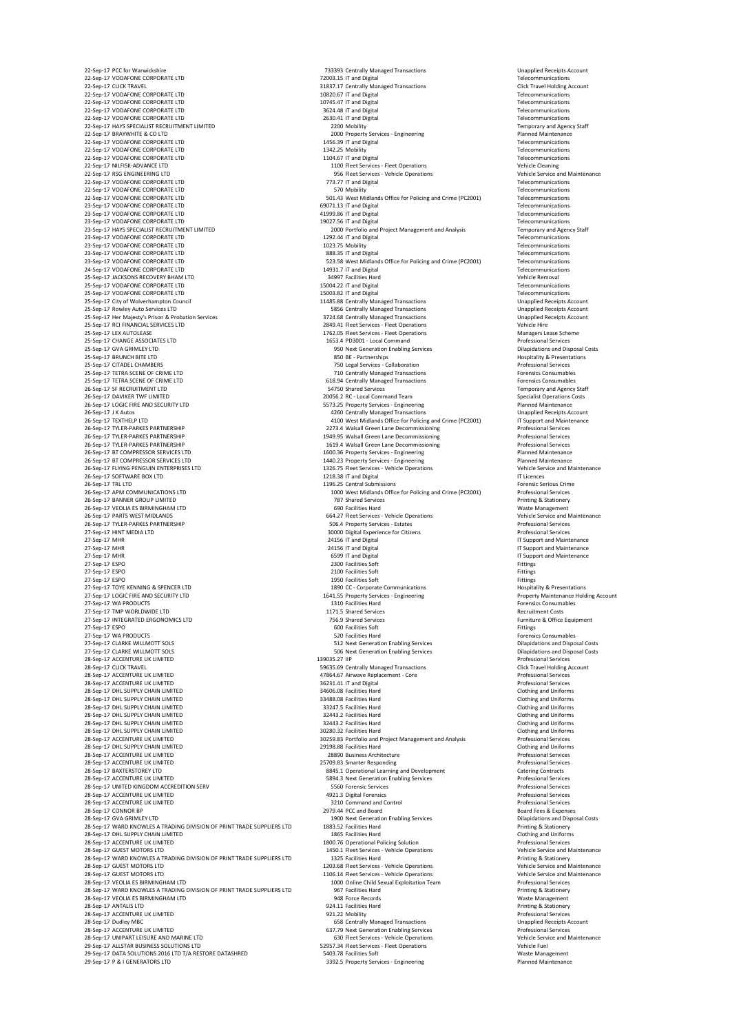22-Sep-17 PCC for Warwickshire 733393 Centrally Managed Transactions Unapplied Receipts Account 22-Sep-17 VODAFONE CORPORATE LTD 72003.15 IT and Digital 72003.15 IT and Digital Telecommunications 22-Sep-17 CLICK TRAVEL 31837.17 Centrally Managed Transactions Click Travel Holding Account 22-Sep-17 VODAFONE CORPORATE LTD **10820.67** IT and Digital Telecommunications and Digital Telecommunications 22-Sep-17 VODAFONE CORPORATE LTD **10745.47** IT and Digital 10745.47 IT and Digital Telecommunications 22-Sep-17 VODAFONE CORPORATE LTD 22-Sep-17 VODAFONE CORPORATE LTD 3624.48 IT and Digital 22-Sep-17 VODAFONE CORPORATE LTD 22-Sep-17 VODAFONE CORPORATE LTD 2630.41 IT and Digital 2630.41 IT and Digital 2630.41 IT and Digital 2630.41 IT and Digital 2630.41 IT and Digital 2630.41 IT and Digital 2630.41 IT and Digital 2630.41 IT and Digital 2012 22-Sep-17 HAYS SPECIALIST RECRUITMENT LIMITED **1200 Staff** 2200 2200 Mobility 1200 Mobility Temporary and Agency Staff 22-Sep-17 BRAYWHITE & CO LTD 2000 Property Services - Engineering Planned Maintenance 22-Sep-17 VODAFONE CORPORATE LTD 1456.39 IT and Digital 1456.39 IT and Digital Telecommunications 22-Sep-17 VODAFONE CORPORATE LTD 1342.25 Mobility 1342.25 Solutions and the material of the material of the material of the material of the material of the material of the material of the material of the material of the ma 22-Sep-17 VODAFONE CORPORATE LTD 22-Sep-17 VODAFONE CORPORATE LTD 1104.67 IT and Digital 22-Sep-17 VODAFONE CORPORATE LTD 22-Sep-17 NILFISK-ADVANCE LTD 1100 Fleet Services - Fleet Operations Vehicle Cleaning 22-Sep-17 RSG ENGINEERING LTD 956 Fleet Services - Vehicle Operations Vehicle Service and Maintenance 22-Sep-17 VODAFONE CORPORATE LTD **122-Sep-17 VODAFONE CORPORATE LTD** 22-Sep-17 VODAFONE CORPORATE LTD 22-Sep-17 VODAFONE CORPORATE LTD **12-Sep-17 VODAFONE CORPORATE LTD** 570 Mobility 570 Mobility Telecommunications 22-Sep-17 VODAFONE CORPORATE LTD 501.43 West Midlands Office for Policing and Crime (PC2001) Telecommunications 23-Sep-17 VODAFONE CORPORATE LTD **69071.13** IT and Digital 69071.13 IT and Digital Telecommunications 23-Sep-17 VODAFONE CORPORATE LTD **1999.86 IT and Digital** 41999.86 IT and Digital Telecommunications 23-Sep-17 VODAFONE CORPORATE LTD **19027.56 IT and Digital** 19027.56 IT and Digital Telecommunications 23-Sep-17 HAYS SPECIALIST RECRUITMENT LIMITED 2000 Portfolio and Project Management and Analysis Temporary and Agency Staff 23-Sep-17 VODAFONE CORPORATE LTD 1292.44 IT and Digital 1292.44 IT and Digital 1292.44 IT and Digital 1292.44 IT and Digital 1292.44 IT and Digital 1292.44 IT and Digital 1292.44 IT and Digital 1292.44 IT and Digital 1202. 23-Sep-17 VODAFONE CORPORATE LTD **1023.75 Mobility** 1023.75 Mobility 1023.75 Mobility 23-Sep-17 VODAFONE CORPORATE LTD **888.35 IT and Digital** 888.35 IT and Digital Telecommunications 23-Sep-17 VODAFONE CORPORATE LTD 523.58 West Midlands Office for Policing and Crime (PC2001) Telecommunications 24-Sep-17 VODAFONE CORPORATE LTD 14931.7 IT and Digital 14931.7 IT and Digital 14931.7 IT and Digital 14931.7 IT and Digital 14931.7 IT and Digital 14931.7 IT and Digital 14931.7 IT and Digital 14931.7 IT and Digital 14931 25-Sep-17 JACKSONS RECOVERY BHAM LTD 34997 Facilities Hard Vehicle Removal 25-Sep-17 VODAFONE CORPORATE LTD **15004.22 IT and Digital** 15004.22 IT and Digital Telecommunications 25-Sep-17 VODAFONE CORPORATE LTD 25-Sep-17 VODAFONE CORPORATE LTD 25-Sep-17 VODAFONE CORPORATE LTD 25-Sep-17 City of Wolverhampton Council 11485.88 Centrally Managed Transactions Unapplied Receipts Account 25-Sep-17 Rowley Auto Services LTD 5856 Centrally Managed Transactions Unapplied Receipts Account 25-Sep-17 Her Majesty's Prison & Probation Services 3724.68 Centrally Managed Transactions Unapplied Receipts Account 25-Sep-17 RCI FINANCIAL SERVICES LTD 2849.41 Fleet Services - Fleet Operations Vehicle Hire 25-Sep-17 LEX AUTOLEASE 1762.05 Fleet Services - Fleet Operations Managers Lease Scheme 25-Sep-17 CHANGE ASSOCIATES LTD 1653.4 PD3001 - Local Command Professional Services 25-Sep-17 GVA GRIMLEY LTD 950 Next Generation Enabling Services Dilapidations and Disposal Costs 25-Sep-17 BRUNCH BITE LTD 850 BE - Partnerships 850 BE - Partnerships 850 BE - Partnerships And Museum and Museum Annual Museum and Museum and Museum Annual Museum and Museum and Museum and Museum and Museum and Museum and 25-Sep-17 CITADEL CHAMBERS 750 Legal Services - Collaboration Professional Services 25-Sep-17 TETRA SCENE OF CRIME LTD **TETRA SCENE OF CRIME LTD** 30 TETRA SCENE LTD 25-Sep-17 TETRA SCENE OF CRIME LTD 25-Sep-17 TETRA SCENE OF CRIME LTD 618.94 Centrally Managed Transactions Forensics Consumables 26-Sep-17 SF RECRUITMENT LTD **1200 STATES 2000 STATES 2000 SHARED SERVICES** 54750 Shared Services Temporary and Agency Staff 26-Sep-17 DAVIKER TWF LIMITED **20056.2 RC** - Local Command Team Specialist Operations Costs 26-Sep-17 LOGIC FIRE AND SECURITY LTD **100 CONTROL** 5573.25 Property Services - Engineering Planned Maintenance 26-Sep-17 J K Autos 4260 Centrally Managed Transactions Unapplied Receipts Account 26-Sep-17 TEXTHELP LTD 4100 West Midlands Office for Policing and Crime (PC2001) IT Support and Maintenance 26-Sep-17 TYLER-PARKES PARTNERSHIP 2273.4 Walsall Green Lane Decommissioning Professional Services 26-Sep-17 TYLER-PARKES PARTNERSHIP 1949.95 Walsall Green Lane Decommissioning Professional Services 26-Sep-17 TYLER-PARKES PARTNERSHIP 1619.4 Walsall Green Lane Decommissioning Professional Services 26-Sep-17 BT COMPRESSOR SERVICES LTD 1600.36 Property Services - Engineering Planned Maintenance 26-Sep-17 BT COMPRESSOR SERVICES LTD 1440.23 Property Services - Engineering Planned Maintenance 26-Sep-17 FLYING PENGUIN ENTERPRISES LTD 1326.75 Fleet Services - Vehicle Operations Vehicle Service and Maintenance 26-Sep-17 SOFTWARE BOX LTD 1218.38 IT and Digital 1218.38 IT and Digital 1218.38 IT and Digital 1218.38 IT and Digital 1218.38 IT and Digital 1218.38 IT and Digital 1218.38 IT and Digital 1218.38 IT and Digital 1218.38 IT 26-Sep-17 TRL LTD 1196.25 Central Submissions Forensic Serious Crime 26-Sep-17 APM COMMUNICATIONS LTD 1000 West Midlands Office for Policing and Crime (PC2001) Professional Services 26-Sep-17 BANNER GROUP LIMITED **1988 Stationery** 787 Shared Services **26-Sep-17 BANNER GROUP LIMITED** 26-Sep-17 VEOLIA ES BIRMINGHAM LTD 690 Facilities Hard Waste Management 26-Sep-17 PARTS WEST MIDLANDS 664.27 Fleet Services - Vehicle Operations Vehicle Service and Maintenance 26-Sep-17 TYLER-PARKES PARTNERSHIP **1999 120 SOS A SEPART ARE SEPART OF SOS A SERVICES** - Estates Professional Services 27-Sep-17 HINT MEDIA LTD 30000 Digital Experience for Citizens Professional Services 27-Sep-17 MHR 27-Sep-17 MHR 24156 IT and Digital 24156 IT and Digital 27-Sep-17 MHR 27-Sep-17 MHR **IT Support and Maintenance** 27-Sep-17 MHR **Example 2018** 12 and Digital **IT Support and Maintenance** 27-Sep-17 ESPO 2300 Facilities Soft 2300 Facilities Soft 500 Facilities Soft 500 Facilities Soft 50 Fittings 27-Sep-17 ESPO 200 Facilities Soft 5 and 2100 Facilities Soft 5 and 2100 Facilities Soft 5 and 2100 Facilities Soft 27-Sep-17 ESPO 1950 Facilities Soft Fittings 27-Sep-17 TOYE KENNING & SPENCER LTD 1890 CC - Corporate Communications and the Hospitality & Presentations 27-Sep-17 LOGIC FIRE AND SECURITY LTD 1641.55 Property Services - Engineering Property Maintenance Holding Account 27-Sep-17 WA PRODUCTS 1310 Facilities Hard Forensics Consumables 27-Sep-17 TMP WORLDWIDE LTD **1171.5 Shared Services** 27-Sep-17 TMP WORLDWIDE LTD 27-Sep-17 INTEGRATED ERGONOMICS LTD 756.9 Shared Services Furniture & Office Equipment 27-Sep-17 ESPO 600 Facilities Soft 600 Facilities Soft 600 Facilities Soft 600 Facilities Soft 600 Facilities Soft 27-Sep-17 WA PRODUCTS **120 Forensics Consumables** 520 Facilities Hard Forensics Consumables 27-Sep-17 CLARKE WILLMOTT SOLS 512 Next Generation Enabling Services Dilapidations and Disposal Costs 27-Sep-17 CLARKE WILLMOTT SOLS **1999 SOLD** 506 Next Generation Enabling Services Dilapidations and Disposal Costs 28-Sep-17 ACCENTURE UK LIMITED 139035.27 IIP Professional Services 28-Sep-17 CLICK TRAVEL 59635.69 Centrally Managed Transactions Click Travel Holding Account 28-Sep-17 ACCENTURE UK LIMITED 47864.67 Airwave Replacement - Core Professional Services 28-Sep-17 ACCENTURE UK LIMITED 36231.41 IT and Digital Professional Services 28-Sep-17 DHL SUPPLY CHAIN LIMITED 34606.08 Facilities Hard Clothing and Uniforms 28-Sep-17 DHL SUPPLY CHAIN LIMITED 33488.08 Facilities Hard Clothing and Uniforms 28-Sep-17 DHL SUPPLY CHAIN LIMITED 33247.5 Facilities Hard Clothing and Uniforms 28-Sep-17 DHL SUPPLY CHAIN LIMITED 32443.2 Facilities Hard Clothing and Uniforms 28-Sep-17 DHL SUPPLY CHAIN LIMITED 32443.2 Facilities Hard Clothing and Uniforms 28-Sep-17 DHL SUPPLY CHAIN LIMITED 30280.32 Facilities Hard Clothing and Uniforms 28-Sep-17 ACCENTURE UK LIMITED 30259.83 Portfolio and Project Management and Analysis Professional Services 28-Sep-17 DHL SUPPLY CHAIN LIMITED 29198.88 Facilities Hard Clothing and Uniforms 28-Sep-17 ACCENTURE UK LIMITED 28890 Business Architecture Professional Services 28-Sep-17 ACCENTURE UK LIMITED 25709.83 Smarter Responding Professional Services 28-Sep-17 BAXTERSTOREY LTD **8845.1 Operational Learning and Development** Catering Contracts 28-Sep-17 ACCENTURE UK LIMITED 5894.3 Next Generation Enabling Services Professional Services 28-Sep-17 UNITED KINGDOM ACCREDITION SERV 5560 Forensic Services Professional Services 28-Sep-17 ACCENTURE UK LIMITED 4921.3 Digital Forensics Professional Services 28-Sep-17 ACCENTURE UK LIMITED 3210 Command and Control Professional Services 28-Sep-17 CONNOR BP 2979.44 PCC and Board Board Fees & Expenses 28-Sep-17 GVA GRIMLEY LTD 1900 Next Generation Enabling Services Dilapidations and Disposal Costs 28-Sep-17 WARD KNOWLES A TRADING DIVISION OF PRINT TRADE SUPPLIERS LTD 1883.52 Facilities Hard Printing and American Printing & Stationery 28-Sep-17 DHL SUPPLY CHAIN LIMITED 1865 Facilities Hard Clothing and Uniforms 28-Sep-17 ACCENTURE UK LIMITED **1800.76 Operational Policing Solution** Professional Services 28-Sep-17 GUEST MOTORS LTD 1450.1 Fleet Services - Vehicle Operations Vehicle Service and Maintenance 28-Sep-17 WARD KNOWLES A TRADING DIVISION OF PRINT TRADE SUPPLIERS LTD 1325 Facilities Hard Printing a Stationery 28-Sep-17 GUEST MOTORS LTD 1203.68 Fleet Services - Vehicle Operations Vehicle Service and Maintenance 28-Sep-17 GUEST MOTORS LTD 1106.14 Fleet Services - Vehicle Operations Vehicle Service and Maintenance 28-Sep-17 VEOLIA ES BIRMINGHAM LTD 1000 Online Child Sexual Exploitation Team Professional Services 28-Sep-17 WARD KNOWLES A TRADING DIVISION OF PRINT TRADE SUPPLIERS LTD 967 Facilities Hard Printing Communicationery 28-Sep-17 VEOLIA ES BIRMINGHAM LTD 948 Force Records Waste Management 28-Sep-17 ANTALIS LTD 924.11 Facilities Hard Printing & Stationery 28-Sep-17 ACCENTURE UK LIMITED 921.22 Mobility Professional Services 28-Sep-17 Dudley MBC 658 Centrally Managed Transactions Unapplied Receipts Account 28-Sep-17 ACCENTURE UK LIMITED 637.79 Next Generation Enabling Services Professional Services 28-Sep-17 UNIPART LEISURE AND MARINE LTD 630 Fleet Services - Vehicle Operations Vehicle Service and Maintenance 29-Sep-17 ALLSTAR BUSINESS SOLUTIONS LTD 52957.34 Fleet Services - Fleet Operations Vehicle Fuel 29-Sep-17 DATA SOLUTIONS 2016 LTD T/A RESTORE DATASHRED 5403.78 Facilities Soft 3403.78 Facilities Soft Waste Management 29-Sep-17 P & I GENERATORS LTD **3392.5 Property Services - Engineering** Planned Maintenance